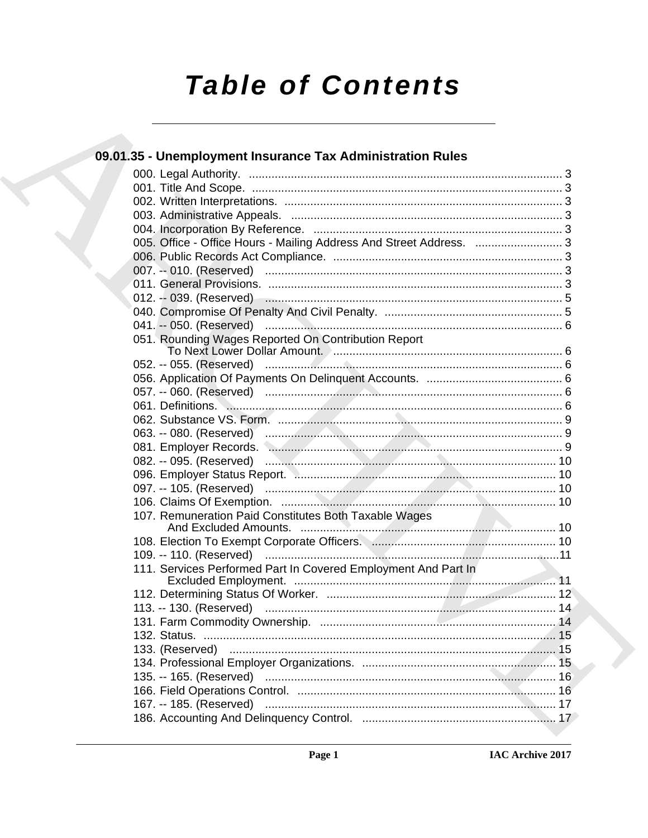# **Table of Contents**

| 09.01.35 - Unemployment Insurance Tax Administration Rules                                                     |  |
|----------------------------------------------------------------------------------------------------------------|--|
|                                                                                                                |  |
|                                                                                                                |  |
|                                                                                                                |  |
|                                                                                                                |  |
|                                                                                                                |  |
| 005. Office - Office Hours - Mailing Address And Street Address.  3                                            |  |
|                                                                                                                |  |
|                                                                                                                |  |
|                                                                                                                |  |
| 012. -- 039. (Reserved) manufacture contract to the control of the control of the control of the control of th |  |
|                                                                                                                |  |
|                                                                                                                |  |
| 051. Rounding Wages Reported On Contribution Report                                                            |  |
|                                                                                                                |  |
|                                                                                                                |  |
|                                                                                                                |  |
|                                                                                                                |  |
|                                                                                                                |  |
|                                                                                                                |  |
| 081. Employer Records. Manual Manual Manual Manual Manual Manual Manual 9                                      |  |
|                                                                                                                |  |
|                                                                                                                |  |
|                                                                                                                |  |
|                                                                                                                |  |
| 107. Remuneration Paid Constitutes Both Taxable Wages                                                          |  |
|                                                                                                                |  |
| 109. -- 110. (Reserved) ……………………………………………………………………………11                                                        |  |
| 111. Services Performed Part In Covered Employment And Part In                                                 |  |
|                                                                                                                |  |
|                                                                                                                |  |
|                                                                                                                |  |
| 131. Farm Commodity Ownership.                                                                                 |  |
|                                                                                                                |  |
|                                                                                                                |  |
|                                                                                                                |  |
|                                                                                                                |  |
|                                                                                                                |  |
|                                                                                                                |  |
|                                                                                                                |  |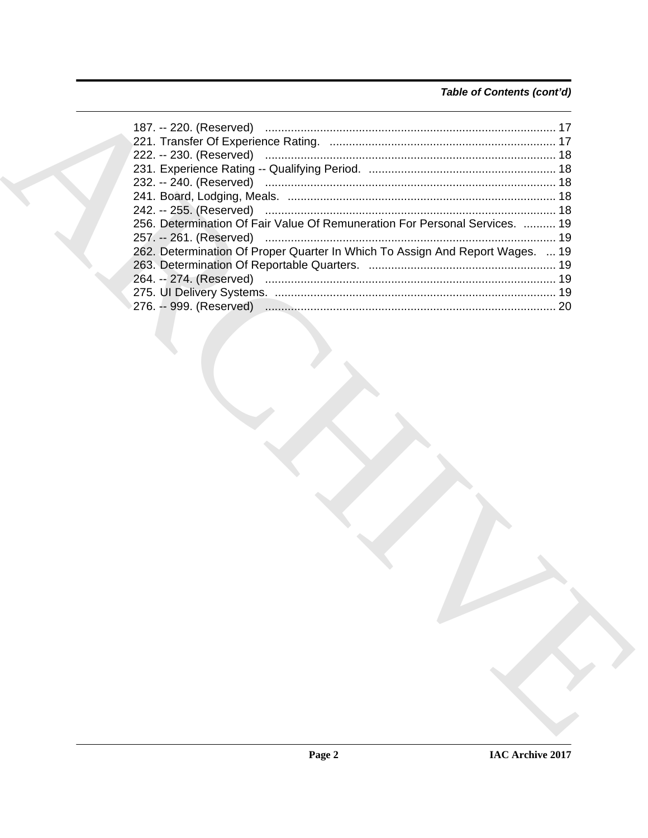# Table of Contents (cont'd)

| 256. Determination Of Fair Value Of Remuneration For Personal Services.  19   |     |
|-------------------------------------------------------------------------------|-----|
|                                                                               |     |
| 262. Determination Of Proper Quarter In Which To Assign And Report Wages.  19 |     |
|                                                                               |     |
|                                                                               |     |
|                                                                               |     |
|                                                                               | -20 |
|                                                                               |     |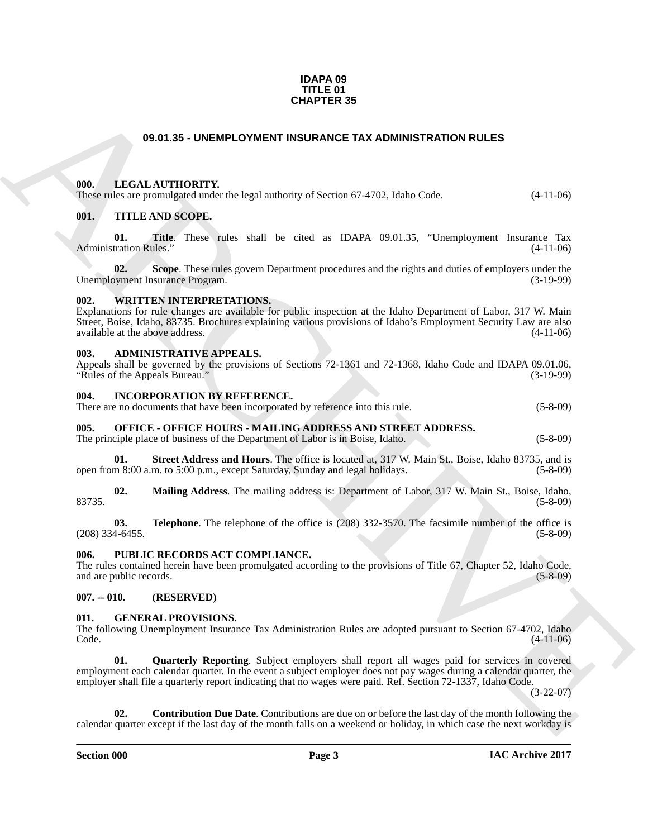#### **IDAPA 09 TITLE 01 CHAPTER 35**

# **09.01.35 - UNEMPLOYMENT INSURANCE TAX ADMINISTRATION RULES**

#### <span id="page-2-1"></span><span id="page-2-0"></span>**000. LEGAL AUTHORITY.**

These rules are promulgated under the legal authority of Section 67-4702, Idaho Code. (4-11-06)

#### <span id="page-2-2"></span>**001. TITLE AND SCOPE.**

**01. Title**. These rules shall be cited as IDAPA 09.01.35, "Unemployment Insurance Tax Administration Rules." (4-11-06)

**02.** Scope. These rules govern Department procedures and the rights and duties of employers under the syment Insurance Program. (3-19-99) Unemployment Insurance Program.

#### <span id="page-2-3"></span>**002. WRITTEN INTERPRETATIONS.**

**CHAPTER 35**<br> **COULD ATTICULATED TRY: CONFIGURATION ROLLES TAX ADMINISTRATION RULES**<br> **COULD TRIE AND SCOPE**<br> **COULD TRIE AND SCOPE**<br> **COULD TRIE AND SCOPE**<br> **COULD TRIE AND SCOPE**<br> **COULD TRIE AND SCOPE**<br>
A dimension r Explanations for rule changes are available for public inspection at the Idaho Department of Labor, 317 W. Main Street, Boise, Idaho, 83735. Brochures explaining various provisions of Idaho's Employment Security Law are also available at the above address. (4-11-06)

#### <span id="page-2-4"></span>**003. ADMINISTRATIVE APPEALS.**

Appeals shall be governed by the provisions of Sections 72-1361 and 72-1368, Idaho Code and IDAPA 09.01.06, "Rules of the Appeals Bureau." (3-19-99)

#### <span id="page-2-5"></span>**004. INCORPORATION BY REFERENCE.**

|  | There are no documents that have been incorporated by reference into this rule. |  |  | $(5-8-09)$ |
|--|---------------------------------------------------------------------------------|--|--|------------|
|--|---------------------------------------------------------------------------------|--|--|------------|

#### <span id="page-2-6"></span>**005. OFFICE - OFFICE HOURS - MAILING ADDRESS AND STREET ADDRESS.**

The principle place of business of the Department of Labor is in Boise, Idaho. (5-8-09)

**01. Street Address and Hours**. The office is located at, 317 W. Main St., Boise, Idaho 83735, and is m 8:00 a.m. to 5:00 p.m., except Saturday. Sunday and legal holidays. (5-8-09) open from 8:00 a.m. to 5:00 p.m., except Saturday, Sunday and legal holidays.

**02. Mailing Address**. The mailing address is: Department of Labor, 317 W. Main St., Boise, Idaho, 83735. (5-8-09)

**03. Telephone**. The telephone of the office is (208) 332-3570. The facsimile number of the office is (5-8-09) (5-8-09)  $(208)$  334-6455.

#### <span id="page-2-7"></span>**006. PUBLIC RECORDS ACT COMPLIANCE.**

The rules contained herein have been promulgated according to the provisions of Title 67, Chapter 52, Idaho Code, and are public records. (5-8-09) and are public records.

#### <span id="page-2-8"></span>**007. -- 010. (RESERVED)**

#### <span id="page-2-9"></span>**011. GENERAL PROVISIONS.**

The following Unemployment Insurance Tax Administration Rules are adopted pursuant to Section 67-4702, Idaho Code. (4-11-06)  $\text{Code.}$  (4-11-06)

<span id="page-2-11"></span>**01. Quarterly Reporting**. Subject employers shall report all wages paid for services in covered employment each calendar quarter. In the event a subject employer does not pay wages during a calendar quarter, the employer shall file a quarterly report indicating that no wages were paid. Ref. Section 72-1337, Idaho Code.

(3-22-07)

<span id="page-2-10"></span>**02. Contribution Due Date**. Contributions are due on or before the last day of the month following the calendar quarter except if the last day of the month falls on a weekend or holiday, in which case the next workday is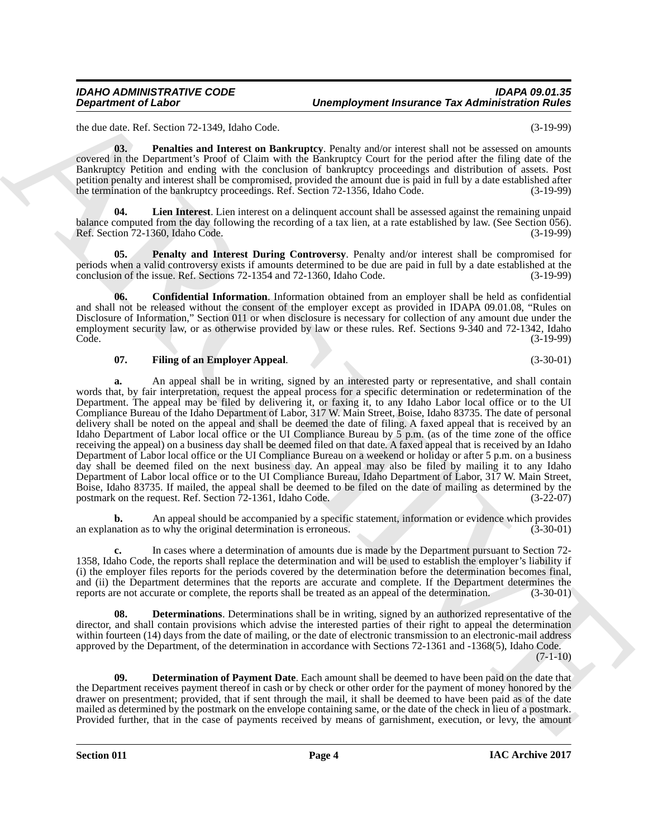the due date. Ref. Section 72-1349, Idaho Code. (3-19-99)

<span id="page-3-5"></span>**03. Penalties and Interest on Bankruptcy**. Penalty and/or interest shall not be assessed on amounts covered in the Department's Proof of Claim with the Bankruptcy Court for the period after the filing date of the Bankruptcy Petition and ending with the conclusion of bankruptcy proceedings and distribution of assets. Post petition penalty and interest shall be compromised, provided the amount due is paid in full by a date established after<br>the termination of the bankruptcy proceedings. Ref. Section 72-1356. Idaho Code. (3-19-99) the termination of the bankruptcy proceedings. Ref. Section 72-1356, Idaho Code.

<span id="page-3-4"></span>**Lien Interest**. Lien interest on a delinquent account shall be assessed against the remaining unpaid balance computed from the day following the recording of a tax lien, at a rate established by law. (See Section 056). Ref. Section 72-1360, Idaho Code. (3-19-99)

<span id="page-3-6"></span>**05. Penalty and Interest During Controversy**. Penalty and/or interest shall be compromised for periods when a valid controversy exists if amounts determined to be due are paid in full by a date established at the conclusion of the issue. Ref. Sections 72-1354 and 72-1360, Idaho Code. (3-19-99)

<span id="page-3-0"></span>**06. Confidential Information**. Information obtained from an employer shall be held as confidential and shall not be released without the consent of the employer except as provided in IDAPA 09.01.08, "Rules on Disclosure of Information," Section 011 or when disclosure is necessary for collection of any amount due under the employment security law, or as otherwise provided by law or these rules. Ref. Sections 9-340 and 72-1342, Idaho<br>Code. (3-19-99) Code. (3-19-99)

# <span id="page-3-3"></span>**07. Filing of an Employer Appeal**. (3-30-01)

**Department of Lakes 11.2.** Unterplayment framework for a demonstration of the set of the set of the set of the set of the set of the set of the set of the set of the set of the set of the set of the set of the set of the **a.** An appeal shall be in writing, signed by an interested party or representative, and shall contain words that, by fair interpretation, request the appeal process for a specific determination or redetermination of the Department. The appeal may be filed by delivering it, or faxing it, to any Idaho Labor local office or to the UI Compliance Bureau of the Idaho Department of Labor, 317 W. Main Street, Boise, Idaho 83735. The date of personal delivery shall be noted on the appeal and shall be deemed the date of filing. A faxed appeal that is received by an Idaho Department of Labor local office or the UI Compliance Bureau by  $\overline{5}$  p.m. (as of the time zone of the office receiving the appeal) on a business day shall be deemed filed on that date. A faxed appeal that is received by an Idaho Department of Labor local office or the UI Compliance Bureau on a weekend or holiday or after 5 p.m. on a business day shall be deemed filed on the next business day. An appeal may also be filed by mailing it to any Idaho Department of Labor local office or to the UI Compliance Bureau, Idaho Department of Labor, 317 W. Main Street, Boise, Idaho 83735. If mailed, the appeal shall be deemed to be filed on the date of mailing as determined by the postmark on the request. Ref. Section 72-1361, Idaho Code. (3-22-07) postmark on the request. Ref. Section  $72-1361$ , Idaho Code.

**b.** An appeal should be accompanied by a specific statement, information or evidence which provides nation as to why the original determination is erroneous. (3-30-01) an explanation as to why the original determination is erroneous.

**c.** In cases where a determination of amounts due is made by the Department pursuant to Section 72- 1358, Idaho Code, the reports shall replace the determination and will be used to establish the employer's liability if (i) the employer files reports for the periods covered by the determination before the determination becomes final, and (ii) the Department determines that the reports are accurate and complete. If the Department determines the reports are not accurate or complete, the reports shall be treated as an appeal of the determination. (3-30-01 reports are not accurate or complete, the reports shall be treated as an appeal of the determination.

<span id="page-3-2"></span>**Determinations.** Determinations shall be in writing, signed by an authorized representative of the director, and shall contain provisions which advise the interested parties of their right to appeal the determination within fourteen (14) days from the date of mailing, or the date of electronic transmission to an electronic-mail address approved by the Department, of the determination in accordance with Sections 72-1361 and -1368(5), Idaho Code.

 $(7-1-10)$ 

<span id="page-3-1"></span>**09. Determination of Payment Date**. Each amount shall be deemed to have been paid on the date that the Department receives payment thereof in cash or by check or other order for the payment of money honored by the drawer on presentment; provided, that if sent through the mail, it shall be deemed to have been paid as of the date mailed as determined by the postmark on the envelope containing same, or the date of the check in lieu of a postmark. Provided further, that in the case of payments received by means of garnishment, execution, or levy, the amount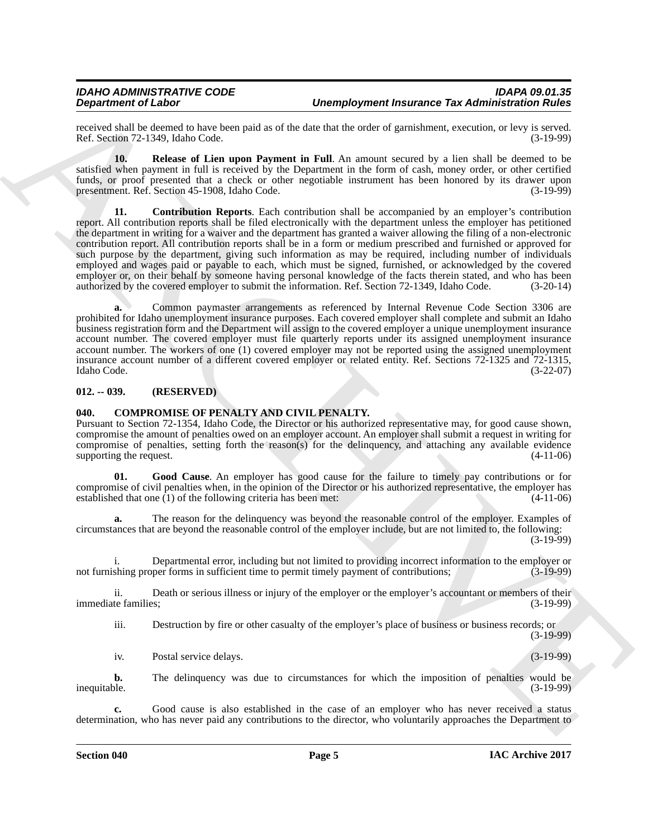received shall be deemed to have been paid as of the date that the order of garnishment, execution, or levy is served.<br>Ref. Section 72-1349. Idaho Code. (3-19-99) Ref. Section 72-1349, Idaho Code.

<span id="page-4-5"></span><span id="page-4-4"></span>**10. Release of Lien upon Payment in Full**. An amount secured by a lien shall be deemed to be satisfied when payment in full is received by the Department in the form of cash, money order, or other certified funds, or proof presented that a check or other negotiable instrument has been honored by its drawer upon presentment. Ref. Section 45-1908. Idaho Code. (3-19-99) presentment. Ref. Section 45-1908, Idaho Code.

Dependent of Laboratory in the state of the state of the state of the state of the state of the state of the state of the state of the state of the state of the state of the state of the state of the state of the state of **11. Contribution Reports**. Each contribution shall be accompanied by an employer's contribution report. All contribution reports shall be filed electronically with the department unless the employer has petitioned the department in writing for a waiver and the department has granted a waiver allowing the filing of a non-electronic contribution report. All contribution reports shall be in a form or medium prescribed and furnished or approved for such purpose by the department, giving such information as may be required, including number of individuals employed and wages paid or payable to each, which must be signed, furnished, or acknowledged by the covered employer or, on their behalf by someone having personal knowledge of the facts therein stated, and who has been authorized by the covered employer to submit the information. Ref. Section 72-1349, Idaho Code. (3-20-14) authorized by the covered employer to submit the information. Ref. Section 72-1349, Idaho Code.

**a.** Common paymaster arrangements as referenced by Internal Revenue Code Section 3306 are prohibited for Idaho unemployment insurance purposes. Each covered employer shall complete and submit an Idaho business registration form and the Department will assign to the covered employer a unique unemployment insurance account number. The covered employer must file quarterly reports under its assigned unemployment insurance account number. The workers of one (1) covered employer may not be reported using the assigned unemployment insurance account number of a different covered employer or related entity. Ref. Sections 72-1325 and 72-1315, Idaho Code. (3-22-07)

#### <span id="page-4-0"></span>**012. -- 039. (RESERVED)**

#### <span id="page-4-2"></span><span id="page-4-1"></span>**040. COMPROMISE OF PENALTY AND CIVIL PENALTY.**

Pursuant to Section 72-1354, Idaho Code, the Director or his authorized representative may, for good cause shown, compromise the amount of penalties owed on an employer account. An employer shall submit a request in writing for compromise of penalties, setting forth the reason(s) for the delinquency, and attaching any available evidence supporting the request.  $(4-11-06)$ 

<span id="page-4-3"></span>**01. Good Cause**. An employer has good cause for the failure to timely pay contributions or for compromise of civil penalties when, in the opinion of the Director or his authorized representative, the employer has established that one (1) of the following criteria has been met: (4-11-06) established that one  $(1)$  of the following criteria has been met:

**a.** The reason for the delinquency was beyond the reasonable control of the employer. Examples of circumstances that are beyond the reasonable control of the employer include, but are not limited to, the following:  $(3-19-99)$ 

Departmental error, including but not limited to providing incorrect information to the employer or oper forms in sufficient time to permit timely payment of contributions; (3-19-99) not furnishing proper forms in sufficient time to permit timely payment of contributions;

ii. Death or serious illness or injury of the employer or the employer's accountant or members of their<br>(3-19-99) (3-19-99) immediate families:

iii. Destruction by fire or other casualty of the employer's place of business or business records; or (3-19-99)

iv. Postal service delays. (3-19-99)

**b.** The delinquency was due to circumstances for which the imposition of penalties would be inequitable.  $(3-19-99)$ inequitable. (3-19-99)

Good cause is also established in the case of an employer who has never received a status determination, who has never paid any contributions to the director, who voluntarily approaches the Department to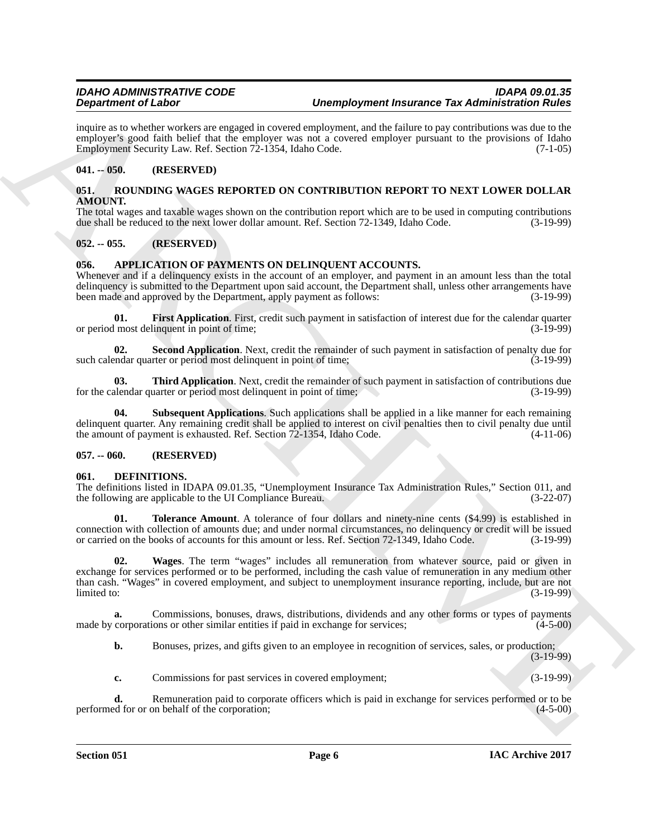inquire as to whether workers are engaged in covered employment, and the failure to pay contributions was due to the employer's good faith belief that the employer was not a covered employer pursuant to the provisions of Idaho Employment Security Law. Ref. Section 72-1354, Idaho Code. (7-1-05)

# <span id="page-5-0"></span>**041. -- 050. (RESERVED)**

#### <span id="page-5-13"></span><span id="page-5-1"></span>**051. ROUNDING WAGES REPORTED ON CONTRIBUTION REPORT TO NEXT LOWER DOLLAR AMOUNT.**

The total wages and taxable wages shown on the contribution report which are to be used in computing contributions due shall be reduced to the next lower dollar amount. Ref. Section 72-1349, Idaho Code. (3-19-99)

# <span id="page-5-2"></span>**052. -- 055. (RESERVED)**

# <span id="page-5-3"></span>**056. APPLICATION OF PAYMENTS ON DELINQUENT ACCOUNTS.**

Whenever and if a delinquency exists in the account of an employer, and payment in an amount less than the total delinquency is submitted to the Department upon said account, the Department shall, unless other arrangements have<br>been made and approved by the Department, apply payment as follows: (3-19-99) been made and approved by the Department, apply payment as follows:

<span id="page-5-6"></span>**01.** First Application. First, credit such payment in satisfaction of interest due for the calendar quarter most delinquent in point of time: or period most delinquent in point of time;

<span id="page-5-7"></span>**02.** Second Application. Next, credit the remainder of such payment in satisfaction of penalty due for endar quarter or period most delinguent in point of time: (3-19-99) such calendar quarter or period most delinquent in point of time;

<span id="page-5-9"></span>**03. Third Application**. Next, credit the remainder of such payment in satisfaction of contributions due alendar quarter or period most delinquent in point of time: for the calendar quarter or period most delinquent in point of time;

<span id="page-5-8"></span>**04.** Subsequent Applications. Such applications shall be applied in a like manner for each remaining delinquent quarter. Any remaining credit shall be applied to interest on civil penalties then to civil penalty due until<br>the amount of payment is exhausted. Ref. Section 72-1354, Idaho Code. (4-11-06) the amount of payment is exhausted. Ref. Section  $72-1354$ , Idaho Code.

#### <span id="page-5-4"></span>**057. -- 060. (RESERVED)**

#### <span id="page-5-10"></span><span id="page-5-5"></span>**061. DEFINITIONS.**

The definitions listed in IDAPA 09.01.35, "Unemployment Insurance Tax Administration Rules," Section 011, and the following are applicable to the UI Compliance Bureau. (3-22-07) the following are applicable to the UI Compliance Bureau.

<span id="page-5-12"></span><span id="page-5-11"></span>**01. Tolerance Amount**. A tolerance of four dollars and ninety-nine cents (\$4.99) is established in connection with collection of amounts due; and under normal circumstances, no delinquency or credit will be issued<br>or carried on the books of accounts for this amount or less. Ref. Section 72-1349, Idaho Code. (3-19-99) or carried on the books of accounts for this amount or less. Ref. Section 72-1349, Idaho Code.

**Dependent of Lisher China strongendies over a Unemployment from ancheor Tax Administration Research (1988)<br>
ARCHIVES TRIP (1988) between the strongendies of the strongendies of the strongendies of the strongendies of the 02. Wages**. The term "wages" includes all remuneration from whatever source, paid or given in exchange for services performed or to be performed, including the cash value of remuneration in any medium other than cash. "Wages" in covered employment, and subject to unemployment insurance reporting, include, but are not  $\frac{1}{3}$  limited to:  $\frac{3-19-99}{3}$ 

**a.** Commissions, bonuses, draws, distributions, dividends and any other forms or types of payments made by corporations or other similar entities if paid in exchange for services; (4-5-00)

**b.** Bonuses, prizes, and gifts given to an employee in recognition of services, sales, or production;

(3-19-99)

**c.** Commissions for past services in covered employment; (3-19-99)

**d.** Remuneration paid to corporate officers which is paid in exchange for services performed or to be ed for or on behalf of the corporation; (4-5-00) performed for or on behalf of the corporation;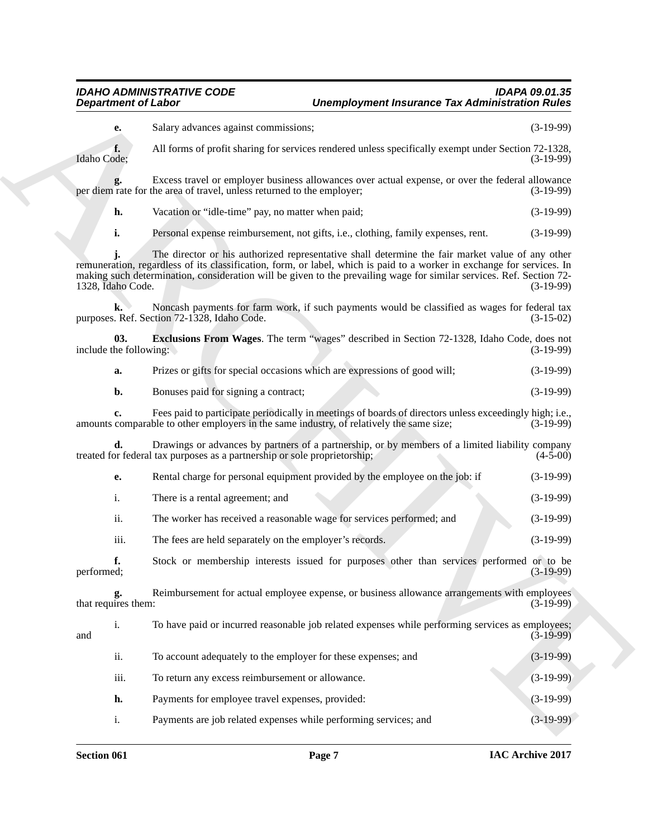# *IDAHO ADMINISTRATIVE CODE IDAPA 09.01.35 Unemployment Insurance Tax Administration Rules*

<span id="page-6-0"></span>

| а. |  | Prizes or gifts for special occasions which are expressions of good will; |  | $(3-19-99)$ |
|----|--|---------------------------------------------------------------------------|--|-------------|
|----|--|---------------------------------------------------------------------------|--|-------------|

| e.  | Rental charge for personal equipment provided by the employee on the job: if | $(3-19-99)$ |
|-----|------------------------------------------------------------------------------|-------------|
|     | There is a rental agreement; and                                             | $(3-19-99)$ |
| 11. | The worker has received a reasonable wage for services performed; and        | $(3-19-99)$ |

| <b>Department of Labor</b>    |                                                                                                                                                                                                                                                                                                                                                    | <b>Unemployment Insurance Tax Administration Rules</b> |  |  |
|-------------------------------|----------------------------------------------------------------------------------------------------------------------------------------------------------------------------------------------------------------------------------------------------------------------------------------------------------------------------------------------------|--------------------------------------------------------|--|--|
| е.                            | Salary advances against commissions;                                                                                                                                                                                                                                                                                                               | $(3-19-99)$                                            |  |  |
| f.<br>Idaho Code;             | All forms of profit sharing for services rendered unless specifically exempt under Section 72-1328,                                                                                                                                                                                                                                                | $(3-19-99)$                                            |  |  |
|                               | Excess travel or employer business allowances over actual expense, or over the federal allowance<br>per diem rate for the area of travel, unless returned to the employer;                                                                                                                                                                         | $(3-19-99)$                                            |  |  |
| h.                            | Vacation or "idle-time" pay, no matter when paid;                                                                                                                                                                                                                                                                                                  | $(3-19-99)$                                            |  |  |
| i.                            | Personal expense reimbursement, not gifts, i.e., clothing, family expenses, rent.                                                                                                                                                                                                                                                                  | $(3-19-99)$                                            |  |  |
| 1328, Idaho Code.             | The director or his authorized representative shall determine the fair market value of any other<br>remuneration, regardless of its classification, form, or label, which is paid to a worker in exchange for services. In<br>making such determination, consideration will be given to the prevailing wage for similar services. Ref. Section 72- | $(3-19-99)$                                            |  |  |
| k.                            | Noncash payments for farm work, if such payments would be classified as wages for federal tax<br>purposes. Ref. Section 72-1328, Idaho Code.                                                                                                                                                                                                       | $(3-15-02)$                                            |  |  |
| 03.<br>include the following: | <b>Exclusions From Wages</b> . The term "wages" described in Section 72-1328, Idaho Code, does not                                                                                                                                                                                                                                                 | $(3-19-99)$                                            |  |  |
| a.                            | Prizes or gifts for special occasions which are expressions of good will;                                                                                                                                                                                                                                                                          | $(3-19-99)$                                            |  |  |
| b.                            | Bonuses paid for signing a contract;                                                                                                                                                                                                                                                                                                               | $(3-19-99)$                                            |  |  |
| c.                            | Fees paid to participate periodically in meetings of boards of directors unless exceedingly high; i.e.,<br>amounts comparable to other employers in the same industry, of relatively the same size;                                                                                                                                                | $(3-19-99)$                                            |  |  |
| d.                            | Drawings or advances by partners of a partnership, or by members of a limited liability company<br>treated for federal tax purposes as a partnership or sole proprietorship;                                                                                                                                                                       | $(4-5-00)$                                             |  |  |
| е.                            | Rental charge for personal equipment provided by the employee on the job: if                                                                                                                                                                                                                                                                       | $(3-19-99)$                                            |  |  |
| i.                            | There is a rental agreement; and                                                                                                                                                                                                                                                                                                                   | $(3-19-99)$                                            |  |  |
| ii.                           | The worker has received a reasonable wage for services performed; and                                                                                                                                                                                                                                                                              | $(3-19-99)$                                            |  |  |
| iii.                          | The fees are held separately on the employer's records.                                                                                                                                                                                                                                                                                            | $(3-19-99)$                                            |  |  |
| f.<br>performed;              | Stock or membership interests issued for purposes other than services performed or to be                                                                                                                                                                                                                                                           | $(3-19-99)$                                            |  |  |
| g.<br>that requires them:     | Reimbursement for actual employee expense, or business allowance arrangements with employees                                                                                                                                                                                                                                                       | $(3-19-99)$                                            |  |  |
| i.<br>and                     | To have paid or incurred reasonable job related expenses while performing services as employees;                                                                                                                                                                                                                                                   | $(3-19-99)$                                            |  |  |
| ii.                           | To account adequately to the employer for these expenses; and                                                                                                                                                                                                                                                                                      | $(3-19-99)$                                            |  |  |
| iii.                          | To return any excess reimbursement or allowance.                                                                                                                                                                                                                                                                                                   | $(3-19-99)$                                            |  |  |
| h.                            | Payments for employee travel expenses, provided:                                                                                                                                                                                                                                                                                                   | $(3-19-99)$                                            |  |  |
| i.                            | Payments are job related expenses while performing services; and                                                                                                                                                                                                                                                                                   | $(3-19-99)$                                            |  |  |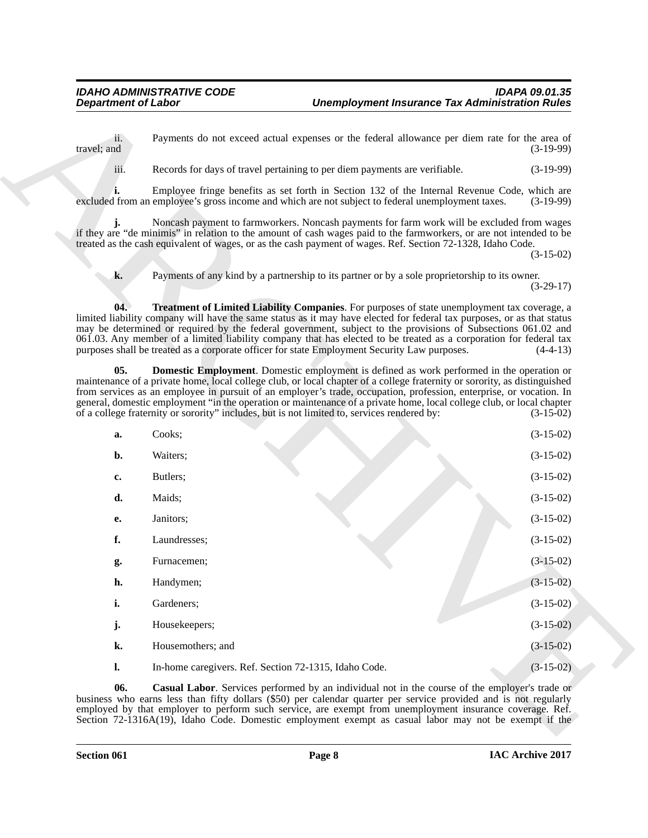<span id="page-7-2"></span><span id="page-7-1"></span><span id="page-7-0"></span>

| 11.<br>travel; and | Payments do not exceed actual expenses or the federal allowance per diem rate for the area of                                                                                                                                                                                                                                                                                                                                                                                                                                                                                 |                                                                                                          | $(3-19-99)$ |
|--------------------|-------------------------------------------------------------------------------------------------------------------------------------------------------------------------------------------------------------------------------------------------------------------------------------------------------------------------------------------------------------------------------------------------------------------------------------------------------------------------------------------------------------------------------------------------------------------------------|----------------------------------------------------------------------------------------------------------|-------------|
| iii.               | Records for days of travel pertaining to per diem payments are verifiable.                                                                                                                                                                                                                                                                                                                                                                                                                                                                                                    |                                                                                                          | $(3-19-99)$ |
|                    | Employee fringe benefits as set forth in Section 132 of the Internal Revenue Code, which are<br>excluded from an employee's gross income and which are not subject to federal unemployment taxes.                                                                                                                                                                                                                                                                                                                                                                             |                                                                                                          | $(3-19-99)$ |
|                    | Noncash payment to farmworkers. Noncash payments for farm work will be excluded from wages<br>if they are "de minimis" in relation to the amount of cash wages paid to the farmworkers, or are not intended to be<br>treated as the cash equivalent of wages, or as the cash payment of wages. Ref. Section 72-1328, Idaho Code.                                                                                                                                                                                                                                              |                                                                                                          | $(3-15-02)$ |
| k.                 | Payments of any kind by a partnership to its partner or by a sole proprietorship to its owner.                                                                                                                                                                                                                                                                                                                                                                                                                                                                                |                                                                                                          | $(3-29-17)$ |
| 04.                | <b>Treatment of Limited Liability Companies.</b> For purposes of state unemployment tax coverage, a<br>limited liability company will have the same status as it may have elected for federal tax purposes, or as that status<br>may be determined or required by the federal government, subject to the provisions of Subsections 061.02 and<br>061.03. Any member of a limited liability company that has elected to be treated as a corporation for federal tax<br>purposes shall be treated as a corporate officer for state Employment Security Law purposes.            |                                                                                                          | $(4-4-13)$  |
| $05$ .             | <b>Domestic Employment</b> . Domestic employment is defined as work performed in the operation or<br>maintenance of a private home, local college club, or local chapter of a college fraternity or sorority, as distinguished<br>from services as an employee in pursuit of an employer's trade, occupation, profession, enterprise, or vocation. In<br>general, domestic employment "in the operation or maintenance of a private home, local college club, or local chapter<br>of a college fraternity or sorority" includes, but is not limited to, services rendered by: |                                                                                                          | $(3-15-02)$ |
| a.                 | Cooks;                                                                                                                                                                                                                                                                                                                                                                                                                                                                                                                                                                        |                                                                                                          | $(3-15-02)$ |
| b.                 | Waiters;                                                                                                                                                                                                                                                                                                                                                                                                                                                                                                                                                                      |                                                                                                          | $(3-15-02)$ |
| c.                 | Butlers;                                                                                                                                                                                                                                                                                                                                                                                                                                                                                                                                                                      |                                                                                                          | $(3-15-02)$ |
| d.                 | Maids;                                                                                                                                                                                                                                                                                                                                                                                                                                                                                                                                                                        |                                                                                                          | $(3-15-02)$ |
| е.                 | Janitors;                                                                                                                                                                                                                                                                                                                                                                                                                                                                                                                                                                     |                                                                                                          | $(3-15-02)$ |
| f.                 | Laundresses;                                                                                                                                                                                                                                                                                                                                                                                                                                                                                                                                                                  |                                                                                                          | $(3-15-02)$ |
| g.                 | Furnacemen;                                                                                                                                                                                                                                                                                                                                                                                                                                                                                                                                                                   |                                                                                                          | $(3-15-02)$ |
| h.                 | Handymen;                                                                                                                                                                                                                                                                                                                                                                                                                                                                                                                                                                     |                                                                                                          | $(3-15-02)$ |
| i.                 | Gardeners;                                                                                                                                                                                                                                                                                                                                                                                                                                                                                                                                                                    |                                                                                                          | $(3-15-02)$ |
| j.                 | Housekeepers;                                                                                                                                                                                                                                                                                                                                                                                                                                                                                                                                                                 |                                                                                                          | $(3-15-02)$ |
| k.                 | Housemothers; and                                                                                                                                                                                                                                                                                                                                                                                                                                                                                                                                                             |                                                                                                          | $(3-15-02)$ |
| $\mathbf{l}$ .     | In-home caregivers. Ref. Section 72-1315, Idaho Code.                                                                                                                                                                                                                                                                                                                                                                                                                                                                                                                         |                                                                                                          | $(3-15-02)$ |
| 06.                | <b>Casual Labor.</b> Services performed by an individual not in the course of the employer's trade or<br>business who earns less than fifty dollars (\$50) per calendar quarter per service provided and is not regularly                                                                                                                                                                                                                                                                                                                                                     | employed by that employer to perform such service, are exempt from unemployment insurance coverage. Ref. |             |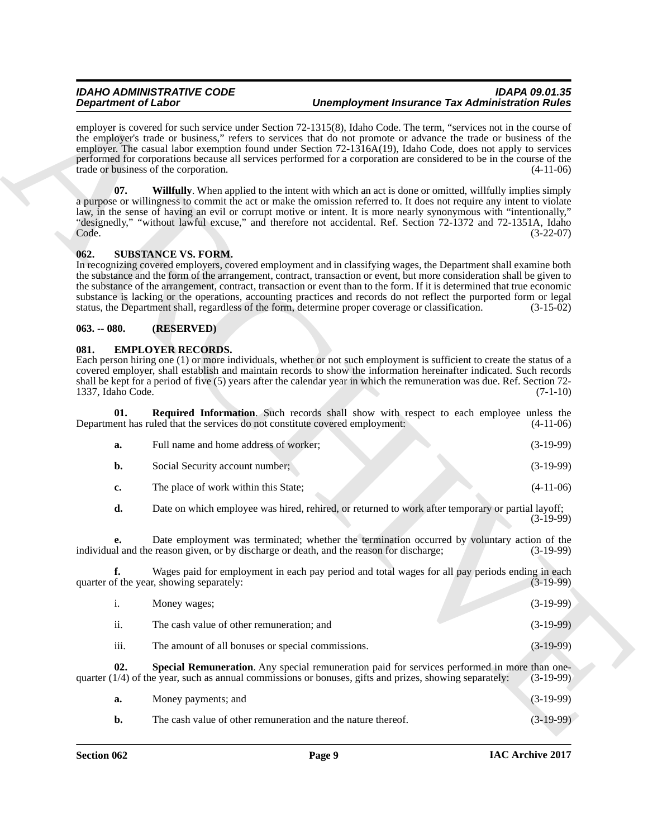#### *IDAHO ADMINISTRATIVE CODE IDAPA 09.01.35 Unemployment Insurance Tax Administration Rules*

#### <span id="page-8-6"></span><span id="page-8-3"></span><span id="page-8-0"></span>**062. SUBSTANCE VS. FORM.**

#### <span id="page-8-1"></span>**063. -- 080. (RESERVED)**

#### <span id="page-8-2"></span>**081. EMPLOYER RECORDS.**

<span id="page-8-4"></span>

| а. | Full name and home address of worker; | $(3-19-99)$ |
|----|---------------------------------------|-------------|
|    | Social Security account number;       | $(3-19-99)$ |
| c. | The place of work within this State;  | $(4-11-06)$ |

|             | <b>Unemployment Insurance Tax Administration Rules</b>                                                                                                                                                                                                                                                                                                                                                                                                                                                                                                                                                |                                                   | <b>Department of Labor</b> |
|-------------|-------------------------------------------------------------------------------------------------------------------------------------------------------------------------------------------------------------------------------------------------------------------------------------------------------------------------------------------------------------------------------------------------------------------------------------------------------------------------------------------------------------------------------------------------------------------------------------------------------|---------------------------------------------------|----------------------------|
| $(4-11-06)$ | employer is covered for such service under Section 72-1315(8), Idaho Code. The term, "services not in the course of<br>the employer's trade or business," refers to services that do not promote or advance the trade or business of the<br>employer. The casual labor exemption found under Section 72-1316A(19), Idaho Code, does not apply to services<br>performed for corporations because all services performed for a corporation are considered to be in the course of the                                                                                                                    | trade or business of the corporation.             |                            |
| $(3-22-07)$ | <b>Willfully</b> . When applied to the intent with which an act is done or omitted, willfully implies simply<br>a purpose or willingness to commit the act or make the omission referred to. It does not require any intent to violate<br>law, in the sense of having an evil or corrupt motive or intent. It is more nearly synonymous with "intentionally,"<br>"designedly," "without lawful excuse," and therefore not accidental. Ref. Section 72-1372 and 72-1351A, Idaho                                                                                                                        |                                                   | 07.<br>Code.               |
| $(3-15-02)$ | In recognizing covered employers, covered employment and in classifying wages, the Department shall examine both<br>the substance and the form of the arrangement, contract, transaction or event, but more consideration shall be given to<br>the substance of the arrangement, contract, transaction or event than to the form. If it is determined that true economic<br>substance is lacking or the operations, accounting practices and records do not reflect the purported form or legal<br>status, the Department shall, regardless of the form, determine proper coverage or classification. | <b>SUBSTANCE VS. FORM.</b>                        | 062.                       |
|             |                                                                                                                                                                                                                                                                                                                                                                                                                                                                                                                                                                                                       | (RESERVED)                                        | $063. - 080.$              |
| $(7-1-10)$  | Each person hiring one (1) or more individuals, whether or not such employment is sufficient to create the status of a<br>covered employer, shall establish and maintain records to show the information hereinafter indicated. Such records<br>shall be kept for a period of five (5) years after the calendar year in which the remuneration was due. Ref. Section 72-                                                                                                                                                                                                                              | <b>EMPLOYER RECORDS.</b>                          | 081.<br>1337, Idaho Code.  |
| $(4-11-06)$ | <b>Required Information</b> . Such records shall show with respect to each employee unless the<br>Department has ruled that the services do not constitute covered employment:                                                                                                                                                                                                                                                                                                                                                                                                                        |                                                   | 01.                        |
| $(3-19-99)$ |                                                                                                                                                                                                                                                                                                                                                                                                                                                                                                                                                                                                       | Full name and home address of worker;             | a.                         |
| $(3-19-99)$ |                                                                                                                                                                                                                                                                                                                                                                                                                                                                                                                                                                                                       | Social Security account number;                   | b.                         |
| $(4-11-06)$ |                                                                                                                                                                                                                                                                                                                                                                                                                                                                                                                                                                                                       | The place of work within this State;              | c.                         |
| $(3-19-99)$ | Date on which employee was hired, rehired, or returned to work after temporary or partial layoff;                                                                                                                                                                                                                                                                                                                                                                                                                                                                                                     |                                                   | d.                         |
| $(3-19-99)$ | Date employment was terminated; whether the termination occurred by voluntary action of the<br>individual and the reason given, or by discharge or death, and the reason for discharge;                                                                                                                                                                                                                                                                                                                                                                                                               |                                                   | e.                         |
| $(3-19-99)$ | Wages paid for employment in each pay period and total wages for all pay periods ending in each                                                                                                                                                                                                                                                                                                                                                                                                                                                                                                       | quarter of the year, showing separately:          |                            |
| $(3-19-99)$ |                                                                                                                                                                                                                                                                                                                                                                                                                                                                                                                                                                                                       | Money wages;                                      | $\mathbf{i}$ .             |
| $(3-19-99)$ |                                                                                                                                                                                                                                                                                                                                                                                                                                                                                                                                                                                                       | The cash value of other remuneration; and         | ii.                        |
| $(3-19-99)$ |                                                                                                                                                                                                                                                                                                                                                                                                                                                                                                                                                                                                       | The amount of all bonuses or special commissions. | iii.                       |
|             | Special Remuneration. Any special remuneration paid for services performed in more than one-<br>quarter $(1/4)$ of the year, such as annual commissions or bonuses, gifts and prizes, showing separately:                                                                                                                                                                                                                                                                                                                                                                                             |                                                   | 02.                        |
| $(3-19-99)$ |                                                                                                                                                                                                                                                                                                                                                                                                                                                                                                                                                                                                       |                                                   |                            |
| $(3-19-99)$ |                                                                                                                                                                                                                                                                                                                                                                                                                                                                                                                                                                                                       | Money payments; and                               | a.                         |

<span id="page-8-5"></span>

| Money payments; and                                          | $(3-19-99)$ |
|--------------------------------------------------------------|-------------|
| The cash value of other remuneration and the nature thereof. | $(3-19-99)$ |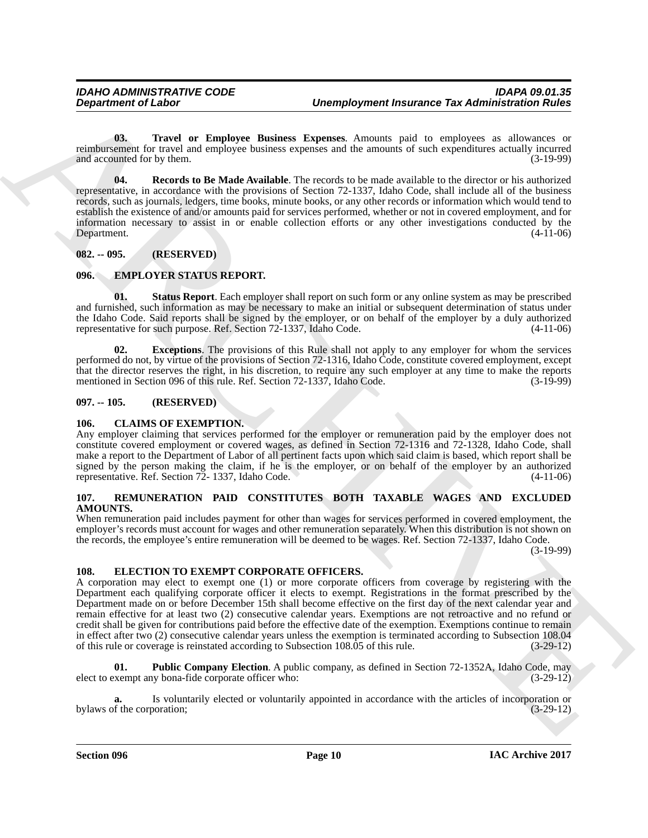<span id="page-9-10"></span>**03. Travel or Employee Business Expenses**. Amounts paid to employees as allowances or reimbursement for travel and employee business expenses and the amounts of such expenditures actually incurred<br>and accounted for by them. (3-19-99) and accounted for by them.

<span id="page-9-9"></span>**04. Records to Be Made Available**. The records to be made available to the director or his authorized representative, in accordance with the provisions of Section 72-1337, Idaho Code, shall include all of the business records, such as journals, ledgers, time books, minute books, or any other records or information which would tend to establish the existence of and/or amounts paid for services performed, whether or not in covered employment, and for information necessary to assist in or enable collection efforts or any other investigations conducted by the Department. (4-11-06)

# <span id="page-9-0"></span>**082. -- 095. (RESERVED)**

# <span id="page-9-1"></span>**096. EMPLOYER STATUS REPORT.**

<span id="page-9-12"></span>**01. Status Report**. Each employer shall report on such form or any online system as may be prescribed and furnished, such information as may be necessary to make an initial or subsequent determination of status under the Idaho Code. Said reports shall be signed by the employer, or on behalf of the employer by a duly authorized representative for such purpose. Ref. Section 72-1337, Idaho Code. (4-11-06)

<span id="page-9-11"></span>**02. Exceptions**. The provisions of this Rule shall not apply to any employer for whom the services performed do not, by virtue of the provisions of Section 72-1316, Idaho Code, constitute covered employment, except that the director reserves the right, in his discretion, to require any such employer at any time to make the reports mentioned in Section 096 of this rule. Ref. Section 72-1337, Idaho Code. (3-19-99)

# <span id="page-9-2"></span>**097. -- 105. (RESERVED)**

# <span id="page-9-6"></span><span id="page-9-3"></span>**106. CLAIMS OF EXEMPTION.**

Any employer claiming that services performed for the employer or remuneration paid by the employer does not constitute covered employment or covered wages, as defined in Section 72-1316 and 72-1328, Idaho Code, shall make a report to the Department of Labor of all pertinent facts upon which said claim is based, which report shall be signed by the person making the claim, if he is the employer, or on behalf of the employer by an authorized representative. Ref. Section 72- 1337, Idaho Code. (4-11-06)

# <span id="page-9-13"></span><span id="page-9-4"></span>**107. REMUNERATION PAID CONSTITUTES BOTH TAXABLE WAGES AND EXCLUDED AMOUNTS.**

When remuneration paid includes payment for other than wages for services performed in covered employment, the employer's records must account for wages and other remuneration separately. When this distribution is not shown on the records, the employee's entire remuneration will be deemed to be wages. Ref. Section 72-1337, Idaho Code.

(3-19-99)

# <span id="page-9-7"></span><span id="page-9-5"></span>**108. ELECTION TO EXEMPT CORPORATE OFFICERS.**

**Department of Labor<br>
Complexyment fractures the mass of the state of the complexyment fractures of the definite fields of the state<br>
complexyment of the mass of the mass of the mass of the state of the state of the mass** A corporation may elect to exempt one (1) or more corporate officers from coverage by registering with the Department each qualifying corporate officer it elects to exempt. Registrations in the format prescribed by the Department made on or before December 15th shall become effective on the first day of the next calendar year and remain effective for at least two (2) consecutive calendar years. Exemptions are not retroactive and no refund or credit shall be given for contributions paid before the effective date of the exemption. Exemptions continue to remain in effect after two (2) consecutive calendar years unless the exemption is terminated according to Subsection 108.04 of this rule or coverage is reinstated according to Subsection 108.05 of this rule. (3-29-12) of this rule or coverage is reinstated according to Subsection 108.05 of this rule.

<span id="page-9-8"></span>**01. Public Company Election**. A public company, as defined in Section 72-1352A, Idaho Code, may xempt any bona-fide corporate officer who: (3-29-12) elect to exempt any bona-fide corporate officer who:

**a.** Is voluntarily elected or voluntarily appointed in accordance with the articles of incorporation or f the corporation; (3-29-12) bylaws of the corporation;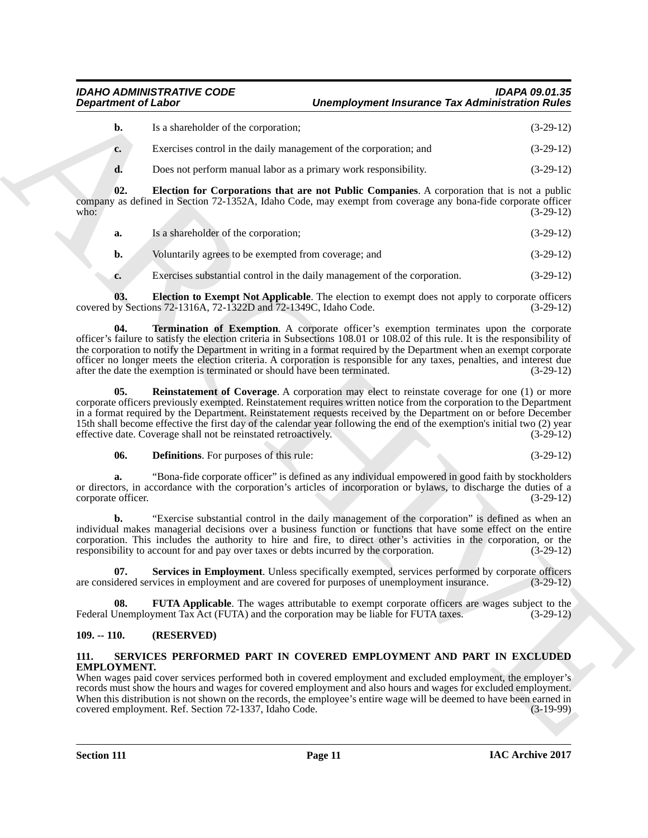|             | Is a shareholder of the corporation;                              | $(3-29-12)$ |
|-------------|-------------------------------------------------------------------|-------------|
| $c_{\cdot}$ | Exercises control in the daily management of the corporation; and | $(3-29-12)$ |
| d.          | Does not perform manual labor as a primary work responsibility.   | $(3-29-12)$ |

**02. Election for Corporations that are not Public Companies**. A corporation that is not a public company as defined in Section 72-1352A, Idaho Code, may exempt from coverage any bona-fide corporate officer<br>(3-29-12) who: (3-29-12)

- <span id="page-10-3"></span>**a.** Is a shareholder of the corporation; (3-29-12)
- **b.** Voluntarily agrees to be exempted from coverage; and (3-29-12)
- <span id="page-10-8"></span><span id="page-10-4"></span>**c.** Exercises substantial control in the daily management of the corporation.  $(3-29-12)$

**Election to Exempt Not Applicable**. The election to exempt does not apply to corporate officers ns 72-1316A, 72-1322D and 72-1349C, Idaho Code. (3-29-12) covered by Sections 72-1316A, 72-1322D and  $72-1349C$ , Idaho Code.

**Department of Lakes Control and the University of the University of the University of the University of the University of the University of the University of the University of the University of the University of the Univ 04. Termination of Exemption**. A corporate officer's exemption terminates upon the corporate officer's failure to satisfy the election criteria in Subsections 108.01 or 108.02 of this rule. It is the responsibility of the corporation to notify the Department in writing in a format required by the Department when an exempt corporate officer no longer meets the election criteria. A corporation is responsible for any taxes, penalties, and interest due after the date the exemption is terminated or should have been terminated.

<span id="page-10-6"></span>**05.** Reinstatement of Coverage. A corporation may elect to reinstate coverage for one (1) or more corporate officers previously exempted. Reinstatement requires written notice from the corporation to the Department in a format required by the Department. Reinstatement requests received by the Department on or before December 15th shall become effective the first day of the calendar year following the end of the exemption's initial two (2) year effective date. Coverage shall not be reinstated retroactively. (3-29-12) effective date. Coverage shall not be reinstated retroactively.

<span id="page-10-2"></span>**06. Definitions**. For purposes of this rule: (3-29-12)

**a.** "Bona-fide corporate officer" is defined as any individual empowered in good faith by stockholders or directors, in accordance with the corporation's articles of incorporation or bylaws, to discharge the duties of a corporate officer. (3-29-12) corporate officer.

**b.** "Exercise substantial control in the daily management of the corporation" is defined as when an individual makes managerial decisions over a business function or functions that have some effect on the entire corporation. This includes the authority to hire and fire, to direct other's activities in the corporation, or the responsibility to account for and pay over taxes or debts incurred by the corporation. (3-29-12) responsibility to account for and pay over taxes or debts incurred by the corporation.

<span id="page-10-7"></span>**07.** Services in Employment. Unless specifically exempted, services performed by corporate officers dered services in employment and are covered for purposes of unemployment insurance. (3-29-12) are considered services in employment and are covered for purposes of unemployment insurance.

<span id="page-10-5"></span>**08. FUTA Applicable**. The wages attributable to exempt corporate officers are wages subject to the Jnemployment Tax Act (FUTA) and the corporation may be liable for FUTA taxes. (3-29-12) Federal Unemployment Tax Act (FUTA) and the corporation may be liable for FUTA taxes.

# <span id="page-10-0"></span>**109. -- 110. (RESERVED)**

# <span id="page-10-9"></span><span id="page-10-1"></span>**111. SERVICES PERFORMED PART IN COVERED EMPLOYMENT AND PART IN EXCLUDED EMPLOYMENT.**

When wages paid cover services performed both in covered employment and excluded employment, the employer's records must show the hours and wages for covered employment and also hours and wages for excluded employment. When this distribution is not shown on the records, the employee's entire wage will be deemed to have been earned in covered employment. Ref. Section 72-1337, Idaho Code. (3-19-99) covered employment. Ref. Section 72-1337, Idaho Code.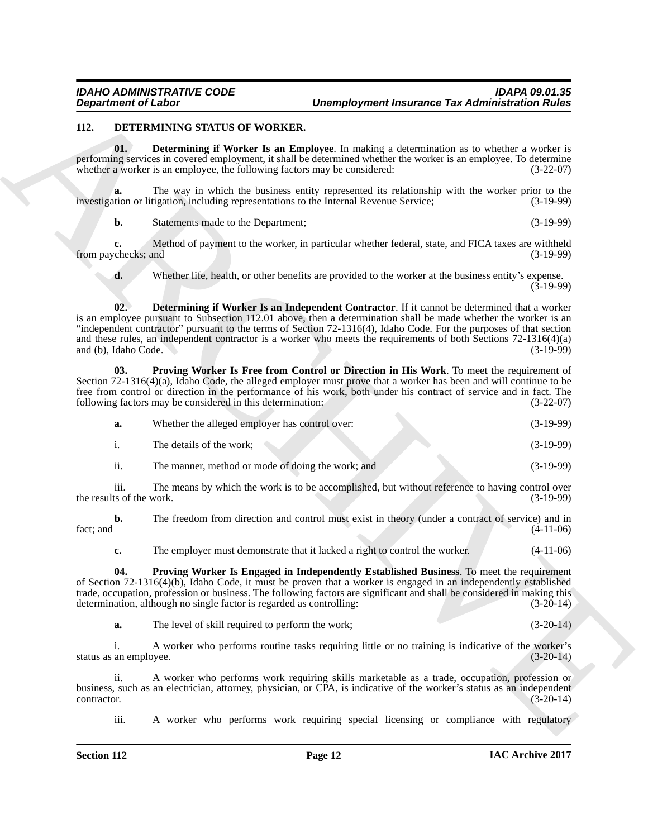#### <span id="page-11-1"></span><span id="page-11-0"></span>**112. DETERMINING STATUS OF WORKER.**

<span id="page-11-2"></span>**01. Determining if Worker Is an Employee**. In making a determination as to whether a worker is performing services in covered employment, it shall be determined whether the worker is an employee. To determine whether a worker is an employee, the following factors may be considered: (3-22-07)

**a.** The way in which the business entity represented its relationship with the worker prior to the the union or litigation, including representations to the Internal Revenue Service: (3-19-99) investigation or litigation, including representations to the Internal Revenue Service;

**b.** Statements made to the Department; (3-19-99)

**c.** Method of payment to the worker, in particular whether federal, state, and FICA taxes are withheld checks: and  $(3-19-99)$ from paychecks; and

<span id="page-11-3"></span>**d.** Whether life, health, or other benefits are provided to the worker at the business entity's expense.  $(3-19-99)$ 

Department of Liabor<br>
11. Determine of Northerlands Correspondent in the state of the state of Northerlands Correspondent in the State of Northerlands Correspondent in the State of Northerlands Correspondent in the State **02. Determining if Worker Is an Independent Contractor**. If it cannot be determined that a worker is an employee pursuant to Subsection 112.01 above, then a determination shall be made whether the worker is an "independent contractor" pursuant to the terms of Section 72-1316(4), Idaho Code. For the purposes of that section and these rules, an independent contractor is a worker who meets the requirements of both Sections 72-1316(4)(a) and (b). Idaho Code. (3-19-99) and (b), Idaho Code.

**03. Proving Worker Is Free from Control or Direction in His Work**. To meet the requirement of Section 72-1316(4)(a), Idaho Code, the alleged employer must prove that a worker has been and will continue to be free from control or direction in the performance of his work, both under his contract of service and in fact. The following factors may be considered in this determination: (3-22-07) following factors may be considered in this determination:

<span id="page-11-5"></span>

| a.            | Whether the alleged employer has control over: | $(3-19-99)$ |
|---------------|------------------------------------------------|-------------|
|               | The details of the work;                       | $(3-19-99)$ |
| $\sim$ $\sim$ |                                                |             |

ii. The manner, method or mode of doing the work; and (3-19-99)

iii. The means by which the work is to be accomplished, but without reference to having control over ts of the work. (3-19-99) the results of the work.

**b.** The freedom from direction and control must exist in theory (under a contract of service) and in fact; and  $(4-11-06)$ 

<span id="page-11-4"></span>**c.** The employer must demonstrate that it lacked a right to control the worker.  $(4-11-06)$ 

**04. Proving Worker Is Engaged in Independently Established Business**. To meet the requirement of Section 72-1316(4)(b), Idaho Code, it must be proven that a worker is engaged in an independently established trade, occupation, profession or business. The following factors are significant and shall be considered in making this determination, although no single factor is regarded as controlling: (3-20-14) determination, although no single factor is regarded as controlling:

**a.** The level of skill required to perform the work; (3-20-14)

i. A worker who performs routine tasks requiring little or no training is indicative of the worker's an employee.  $(3-20-14)$ status as an employee.

ii. A worker who performs work requiring skills marketable as a trade, occupation, profession or business, such as an electrician, attorney, physician, or CPA, is indicative of the worker's status as an independent contractor. (3-20-14) contractor. (3-20-14)

iii. A worker who performs work requiring special licensing or compliance with regulatory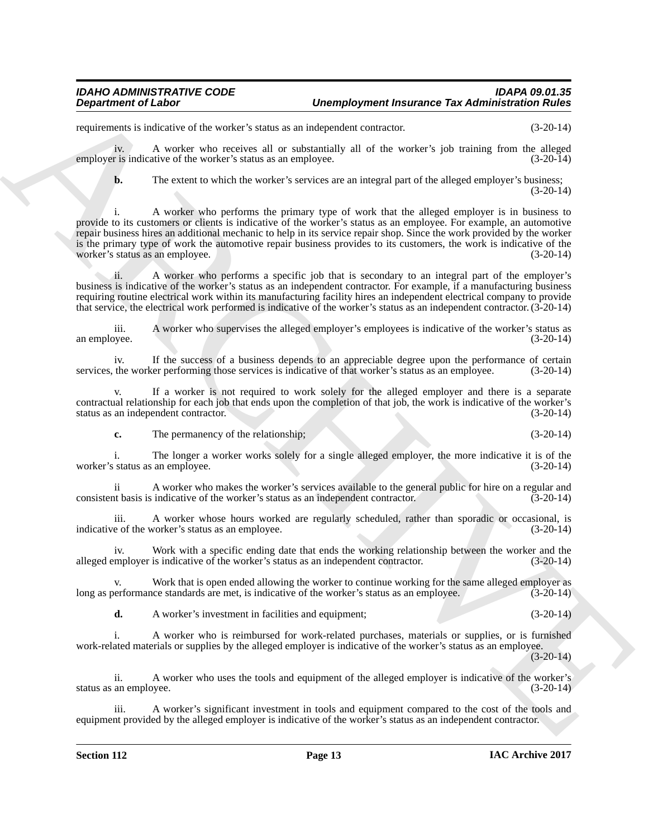requirements is indicative of the worker's status as an independent contractor. (3-20-14)

iv. A worker who receives all or substantially all of the worker's job training from the alleged employer is indicative of the worker's status as an employee. (3-20-14)

**b.** The extent to which the worker's services are an integral part of the alleged employer's business; (3-20-14)

**Department of Labor Carrier of the system of the system of the system of the system of the system of the system of the system of the system of the system of the system of the system of the system of the system of the sys** i. A worker who performs the primary type of work that the alleged employer is in business to provide to its customers or clients is indicative of the worker's status as an employee. For example, an automotive repair business hires an additional mechanic to help in its service repair shop. Since the work provided by the worker is the primary type of work the automotive repair business provides to its customers, the work is indicative of the worker's status as an employee.  $(3-20-14)$ worker's status as an employee.

ii. A worker who performs a specific job that is secondary to an integral part of the employer's business is indicative of the worker's status as an independent contractor. For example, if a manufacturing business requiring routine electrical work within its manufacturing facility hires an independent electrical company to provide that service, the electrical work performed is indicative of the worker's status as an independent contractor. (3-20-14)

iii. A worker who supervises the alleged employer's employees is indicative of the worker's status as an employee.

iv. If the success of a business depends to an appreciable degree upon the performance of certain the worker performing those services is indicative of that worker's status as an employee. (3-20-14) services, the worker performing those services is indicative of that worker's status as an employee.

v. If a worker is not required to work solely for the alleged employer and there is a separate contractual relationship for each job that ends upon the completion of that job, the work is indicative of the worker's status as an independent contractor.

**c.** The permanency of the relationship; (3-20-14)

i. The longer a worker works solely for a single alleged employer, the more indicative it is of the status as an employee.  $(3-20-14)$ worker's status as an employee.

ii A worker who makes the worker's services available to the general public for hire on a regular and consistent basis is indicative of the worker's status as an independent contractor. (3-20-14)

iii. A worker whose hours worked are regularly scheduled, rather than sporadic or occasional, is e of the worker's status as an employee. (3-20-14) indicative of the worker's status as an employee.

iv. Work with a specific ending date that ends the working relationship between the worker and the mployer is indicative of the worker's status as an independent contractor. (3-20-14) alleged employer is indicative of the worker's status as an independent contractor.

v. Work that is open ended allowing the worker to continue working for the same alleged employer as erformance standards are met, is indicative of the worker's status as an employee. (3-20-14) long as performance standards are met, is indicative of the worker's status as an employee.

**d.** A worker's investment in facilities and equipment; (3-20-14)

i. A worker who is reimbursed for work-related purchases, materials or supplies, or is furnished work-related materials or supplies by the alleged employer is indicative of the worker's status as an employee. (3-20-14)

ii. A worker who uses the tools and equipment of the alleged employer is indicative of the worker's an employee. (3-20-14) status as an employee.

A worker's significant investment in tools and equipment compared to the cost of the tools and equipment provided by the alleged employer is indicative of the worker's status as an independent contractor.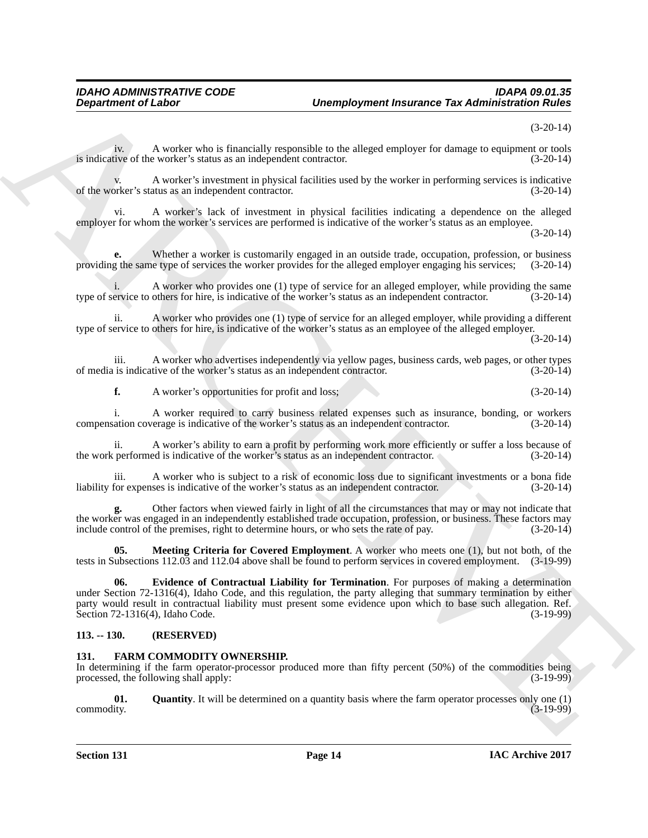(3-20-14)

iv. A worker who is financially responsible to the alleged employer for damage to equipment or tools is indicative of the worker's status as an independent contractor. (3-20-14)

A worker's investment in physical facilities used by the worker in performing services is indicative atus as an independent contractor. (3-20-14) of the worker's status as an independent contractor.

vi. A worker's lack of investment in physical facilities indicating a dependence on the alleged employer for whom the worker's services are performed is indicative of the worker's status as an employee.

(3-20-14)

**e.** Whether a worker is customarily engaged in an outside trade, occupation, profession, or business g the same type of services the worker provides for the alleged employer engaging his services; (3-20-14) providing the same type of services the worker provides for the alleged employer engaging his services; (3-20-14)

A worker who provides one (1) type of service for an alleged employer, while providing the same others for hire, is indicative of the worker's status as an independent contractor. (3-20-14) type of service to others for hire, is indicative of the worker's status as an independent contractor.

ii. A worker who provides one (1) type of service for an alleged employer, while providing a different type of service to others for hire, is indicative of the worker's status as an employee of the alleged employer.

(3-20-14)

iii. A worker who advertises independently via yellow pages, business cards, web pages, or other types is indicative of the worker's status as an independent contractor. (3-20-14) of media is indicative of the worker's status as an independent contractor.

**f.** A worker's opportunities for profit and loss; (3-20-14)

i. A worker required to carry business related expenses such as insurance, bonding, or workers ation coverage is indicative of the worker's status as an independent contractor. (3-20-14) compensation coverage is indicative of the worker's status as an independent contractor.

ii. A worker's ability to earn a profit by performing work more efficiently or suffer a loss because of the work performed is indicative of the worker's status as an independent contractor. (3-20-14)

A worker who is subject to a risk of economic loss due to significant investments or a bona fide<br>ses is indicative of the worker's status as an independent contractor. (3-20-14) liability for expenses is indicative of the worker's status as an independent contractor.

**g.** Other factors when viewed fairly in light of all the circumstances that may or may not indicate that the worker was engaged in an independently established trade occupation, profession, or business. These factors may include control of the premises, right to determine hours, or who sets the rate of pay. (3-20-14)

<span id="page-13-3"></span><span id="page-13-2"></span>**05. Meeting Criteria for Covered Employment**. A worker who meets one (1), but not both, of the tests in Subsections 112.03 and 112.04 above shall be found to perform services in covered employment. (3-19-99)

Department of Labor<br>
Architectural is consistent to the state of properties in the allege complete the diministration Function<br>
A method was a bodynamic consistent to the allege complete the diministration of the system o **06. Evidence of Contractual Liability for Termination**. For purposes of making a determination under Section 72-1316(4), Idaho Code, and this regulation, the party alleging that summary termination by either party would result in contractual liability must present some evidence upon which to base such allegation. Ref. Section 72-1316(4), Idaho Code. (3-19-99)

# <span id="page-13-0"></span>**113. -- 130. (RESERVED)**

# <span id="page-13-1"></span>**131. FARM COMMODITY OWNERSHIP.**

In determining if the farm operator-processor produced more than fifty percent (50%) of the commodities being processed, the following shall apply: (3-19-99)

<span id="page-13-4"></span>**01.** Quantity. It will be determined on a quantity basis where the farm operator processes only one (1) commodity.  $(3-19-99)$ commodity. (3-19-99)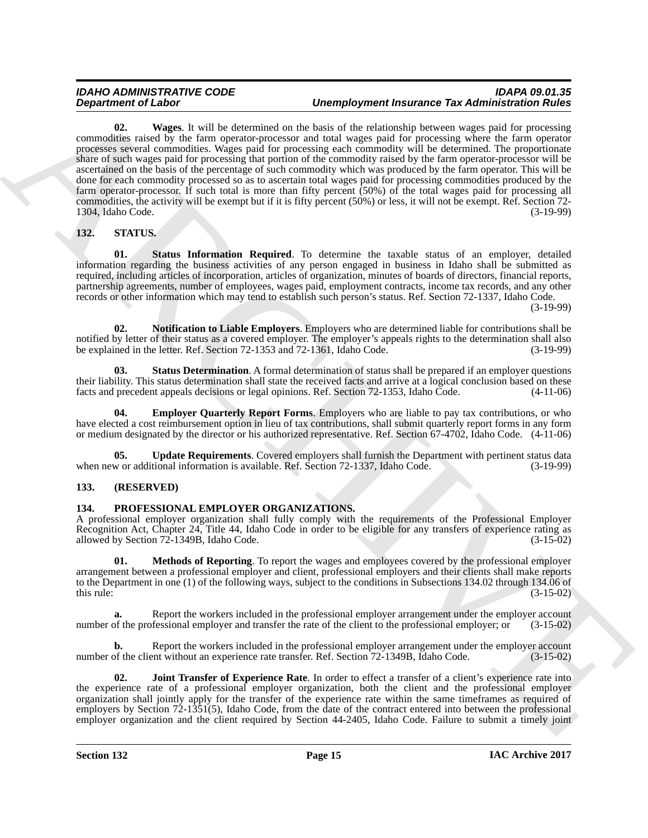# <span id="page-14-3"></span>*IDAHO ADMINISTRATIVE CODE IDAPA 09.01.35 Unemployment Insurance Tax Administration Rules*

ARCHIVE **02. Wages**. It will be determined on the basis of the relationship between wages paid for processing commodities raised by the farm operator-processor and total wages paid for processing where the farm operator processes several commodities. Wages paid for processing each commodity will be determined. The proportionate share of such wages paid for processing that portion of the commodity raised by the farm operator-processor will be ascertained on the basis of the percentage of such commodity which was produced by the farm operator. This will be done for each commodity processed so as to ascertain total wages paid for processing commodities produced by the farm operator-processor. If such total is more than fifty percent (50%) of the total wages paid for processing all commodities, the activity will be exempt but if it is fifty percent (50%) or less, it will not be exempt. Ref. Section 72-  $1304$ , Idaho Code.

# <span id="page-14-6"></span><span id="page-14-0"></span>**132. STATUS.**

<span id="page-14-10"></span>**01. Status Information Required**. To determine the taxable status of an employer, detailed information regarding the business activities of any person engaged in business in Idaho shall be submitted as required, including articles of incorporation, articles of organization, minutes of boards of directors, financial reports, partnership agreements, number of employees, wages paid, employment contracts, income tax records, and any other records or other information which may tend to establish such person's status. Ref. Section 72-1337, Idaho Code.

(3-19-99)

<span id="page-14-8"></span>**02. Notification to Liable Employers**. Employers who are determined liable for contributions shall be notified by letter of their status as a covered employer. The employer's appeals rights to the determination shall also<br>be explained in the letter. Ref. Section 72-1353 and 72-1361. Idaho Code. (3-19-99) be explained in the letter. Ref. Section 72-1353 and 72-1361, Idaho Code.

<span id="page-14-9"></span>**03. Status Determination**. A formal determination of status shall be prepared if an employer questions their liability. This status determination shall state the received facts and arrive at a logical conclusion based on these facts and precedent appeals decisions or legal opinions. Ref. Section 72-1353. Idaho Code. (4-11-0 facts and precedent appeals decisions or legal opinions. Ref. Section 72-1353, Idaho Code.

<span id="page-14-7"></span>**Employer Quarterly Report Forms.** Employers who are liable to pay tax contributions, or who have elected a cost reimbursement option in lieu of tax contributions, shall submit quarterly report forms in any form or medium designated by the director or his authorized representative. Ref. Section 67-4702, Idaho Code. (4-11-06)

<span id="page-14-11"></span>**05. Update Requirements**. Covered employers shall furnish the Department with pertinent status data w or additional information is available. Ref. Section 72-1337, Idaho Code. (3-19-99) when new or additional information is available. Ref. Section 72-1337, Idaho Code.

# <span id="page-14-1"></span>**133. (RESERVED)**

# <span id="page-14-2"></span>**134. PROFESSIONAL EMPLOYER ORGANIZATIONS.**

A professional employer organization shall fully comply with the requirements of the Professional Employer Recognition Act, Chapter 24, Title 44, Idaho Code in order to be eligible for any transfers of experience rating as allowed by Section 72-1349B. Idaho Code. (3-15-02) allowed by Section 72-1349B, Idaho Code.

<span id="page-14-5"></span>**01.** Methods of Reporting. To report the wages and employees covered by the professional employer arrangement between a professional employer and client, professional employers and their clients shall make reports to the Department in one (1) of the following ways, subject to the conditions in Subsections 134.02 through 134.06 of this rule: (3-15-02) this rule:  $(3-15-02)$ 

**a.** Report the workers included in the professional employer arrangement under the employer account number of the professional employer and transfer the rate of the client to the professional employer; or (3-15-02)

**b.** Report the workers included in the professional employer arrangement under the employer account of the client without an experience rate transfer. Ref. Section 72-1349B, Idaho Code. (3-15-02) number of the client without an experience rate transfer. Ref. Section 72-1349B, Idaho Code.

<span id="page-14-4"></span>**02. Joint Transfer of Experience Rate**. In order to effect a transfer of a client's experience rate into the experience rate of a professional employer organization, both the client and the professional employer organization shall jointly apply for the transfer of the experience rate within the same timeframes as required of employers by Section 72-1351(5), Idaho Code, from the date of the contract entered into between the professional employer organization and the client required by Section 44-2405, Idaho Code. Failure to submit a timely joint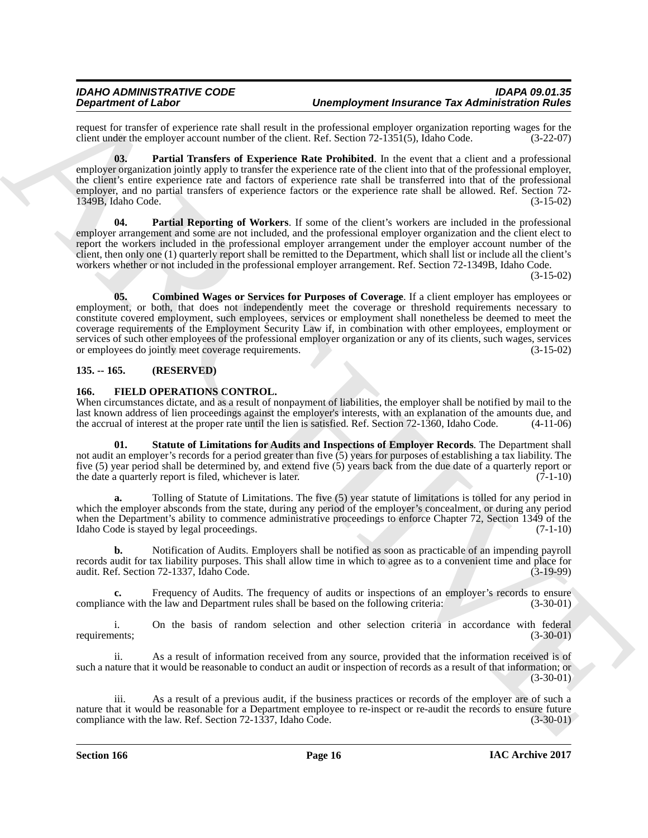request for transfer of experience rate shall result in the professional employer organization reporting wages for the client under the employer account number of the client. Ref. Section 72-1351(5). Idaho Code. (3-22-07) client under the employer account number of the client. Ref. Section 72-1351(5), Idaho Code.

<span id="page-15-8"></span>**03. Partial Transfers of Experience Rate Prohibited**. In the event that a client and a professional employer organization jointly apply to transfer the experience rate of the client into that of the professional employer, the client's entire experience rate and factors of experience rate shall be transferred into that of the professional employer, and no partial transfers of experience factors or the experience rate shall be allowed. Ref. Section 72- 1349B, Idaho Code. (3-15-02)

<span id="page-15-7"></span><span id="page-15-6"></span>**04. Partial Reporting of Workers**. If some of the client's workers are included in the professional employer arrangement and some are not included, and the professional employer organization and the client elect to report the workers included in the professional employer arrangement under the employer account number of the client, then only one (1) quarterly report shall be remitted to the Department, which shall list or include all the client's workers whether or not included in the professional employer arrangement. Ref. Section 72-1349B, Idaho Code.

(3-15-02)

**Dependent of Lisboard Telescontine and the system of the system of the system of the system of the system of the system of the system of the system of the system of the system of the system of the system of the system of 05. Combined Wages or Services for Purposes of Coverage**. If a client employer has employees or employment, or both, that does not independently meet the coverage or threshold requirements necessary to constitute covered employment, such employees, services or employment shall nonetheless be deemed to meet the coverage requirements of the Employment Security Law if, in combination with other employees, employment or services of such other employees of the professional employer organization or any of its clients, such wages, services or employees do jointly meet coverage requirements. or employees do jointly meet coverage requirements.

# <span id="page-15-0"></span>**135. -- 165. (RESERVED)**

# <span id="page-15-1"></span>**166. FIELD OPERATIONS CONTROL.**

When circumstances dictate, and as a result of nonpayment of liabilities, the employer shall be notified by mail to the last known address of lien proceedings against the employer's interests, with an explanation of the amounts due, and the accrual of interest at the proper rate until the lien is satisfied. Ref. Section 72-1360, Idaho Code. the accrual of interest at the proper rate until the lien is satisfied. Ref. Section  $72-1360$ , Idaho Code.

<span id="page-15-4"></span>**01. Statute of Limitations for Audits and Inspections of Employer Records**. The Department shall not audit an employer's records for a period greater than five (5) years for purposes of establishing a tax liability. The five (5) year period shall be determined by, and extend five (5) years back from the due date of a quarterly report or the date a quarterly report is filed, whichever is later. (7-1-10)

<span id="page-15-5"></span>**a.** Tolling of Statute of Limitations. The five (5) year statute of limitations is tolled for any period in which the employer absconds from the state, during any period of the employer's concealment, or during any period when the Department's ability to commence administrative proceedings to enforce Chapter 72, Section 1349 of the Idaho Code is stayed by legal proceedings. (7-1-10)

<span id="page-15-3"></span>**b.** Notification of Audits. Employers shall be notified as soon as practicable of an impending payroll records audit for tax liability purposes. This shall allow time in which to agree as to a convenient time and place for audit. Ref. Section 72-1337, Idaho Code.

<span id="page-15-2"></span>**c.** Frequency of Audits. The frequency of audits or inspections of an employer's records to ensure note with the law and Department rules shall be based on the following criteria: (3-30-01) compliance with the law and Department rules shall be based on the following criteria:

i. On the basis of random selection and other selection criteria in accordance with federal requirements; (3-30-01)

ii. As a result of information received from any source, provided that the information received is of such a nature that it would be reasonable to conduct an audit or inspection of records as a result of that information; or (3-30-01)

iii. As a result of a previous audit, if the business practices or records of the employer are of such a nature that it would be reasonable for a Department employee to re-inspect or re-audit the records to ensure future compliance with the law. Ref. Section 72-1337, Idaho Code. (3-30-01) compliance with the law. Ref. Section 72-1337, Idaho Code.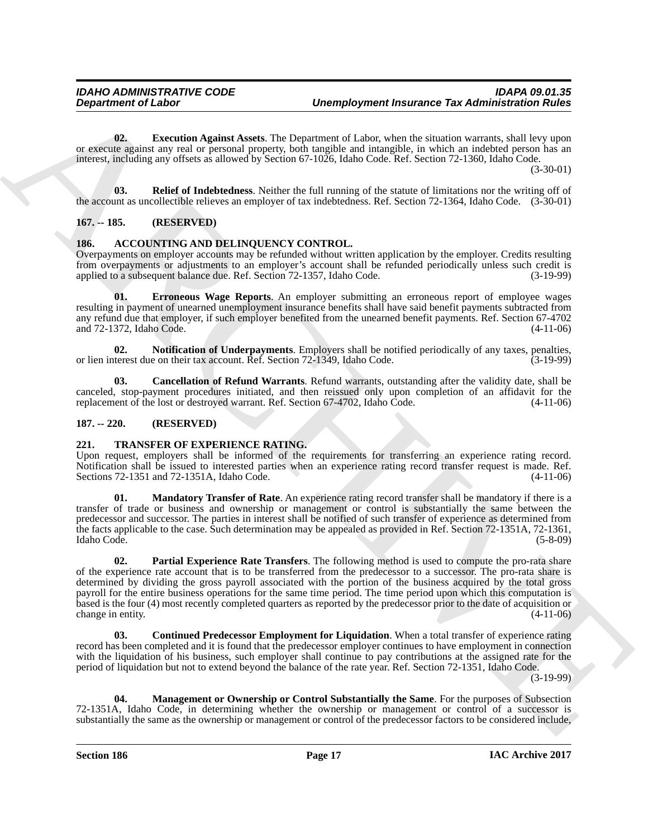<span id="page-16-7"></span>**02. Execution Against Assets**. The Department of Labor, when the situation warrants, shall levy upon or execute against any real or personal property, both tangible and intangible, in which an indebted person has an interest, including any offsets as allowed by Section 67-1026, Idaho Code. Ref. Section 72-1360, Idaho Code. (3-30-01)

<span id="page-16-8"></span>**03. Relief of Indebtedness**. Neither the full running of the statute of limitations nor the writing off of the account as uncollectible relieves an employer of tax indebtedness. Ref. Section 72-1364, Idaho Code. (3-30-01)

# <span id="page-16-0"></span>**167. -- 185. (RESERVED)**

# <span id="page-16-1"></span>**186. ACCOUNTING AND DELINQUENCY CONTROL.**

Overpayments on employer accounts may be refunded without written application by the employer. Credits resulting from overpayments or adjustments to an employer's account shall be refunded periodically unless such credit is applied to a subsequent balance due. Ref. Section 72-1357, Idaho Code. (3-19-99)

<span id="page-16-5"></span>**01. Erroneous Wage Reports**. An employer submitting an erroneous report of employee wages resulting in payment of unearned unemployment insurance benefits shall have said benefit payments subtracted from any refund due that employer, if such employer benefited from the unearned benefit payments. Ref. Section 67-4702 and 72-1372, Idaho Code. (4-11-06)

<span id="page-16-6"></span>**02.** Notification of Underpayments. Employers shall be notified periodically of any taxes, penalties, therest due on their tax account. Ref. Section 72-1349. Idaho Code. (3-19-99) or lien interest due on their tax account. Ref. Section 72-1349, Idaho Code.

<span id="page-16-4"></span>**03. Cancellation of Refund Warrants**. Refund warrants, outstanding after the validity date, shall be canceled, stop-payment procedures initiated, and then reissued only upon completion of an affidavit for the replacement of the lost or destroyed warrant. Ref. Section 67-4702, Idaho Code. (4-11-06) replacement of the lost or destroyed warrant. Ref. Section 67-4702, Idaho Code.

#### <span id="page-16-2"></span>**187. -- 220. (RESERVED)**

# <span id="page-16-3"></span>**221. TRANSFER OF EXPERIENCE RATING.**

Upon request, employers shall be informed of the requirements for transferring an experience rating record. Notification shall be issued to interested parties when an experience rating record transfer request is made. Ref. Sections 72-1351 and 72-1351A, Idaho Code. (4-11-06)

<span id="page-16-12"></span><span id="page-16-11"></span>**01. Mandatory Transfer of Rate**. An experience rating record transfer shall be mandatory if there is a transfer of trade or business and ownership or management or control is substantially the same between the predecessor and successor. The parties in interest shall be notified of such transfer of experience as determined from the facts applicable to the case. Such determination may be appealed as provided in Ref. Section 72-1351A, 72-1361,<br>Idaho Code. (5-8-09) Idaho Code. (5-8-09)

Department of Labor<br>
Complexyment fractures The Administration of Laboratory and the United States and the United States (and the United States and the United States and the United States and the United States and the Uni **02. Partial Experience Rate Transfers**. The following method is used to compute the pro-rata share of the experience rate account that is to be transferred from the predecessor to a successor. The pro-rata share is determined by dividing the gross payroll associated with the portion of the business acquired by the total gross payroll for the entire business operations for the same time period. The time period upon which this computation is based is the four (4) most recently completed quarters as reported by the predecessor prior to the date of acquisition or change in entity. (4-11-06)

<span id="page-16-9"></span>**03. Continued Predecessor Employment for Liquidation**. When a total transfer of experience rating record has been completed and it is found that the predecessor employer continues to have employment in connection with the liquidation of his business, such employer shall continue to pay contributions at the assigned rate for the period of liquidation but not to extend beyond the balance of the rate year. Ref. Section 72-1351, Idaho Code.

(3-19-99)

<span id="page-16-10"></span>**04. Management or Ownership or Control Substantially the Same**. For the purposes of Subsection 72-1351A, Idaho Code, in determining whether the ownership or management or control of a successor is substantially the same as the ownership or management or control of the predecessor factors to be considered include,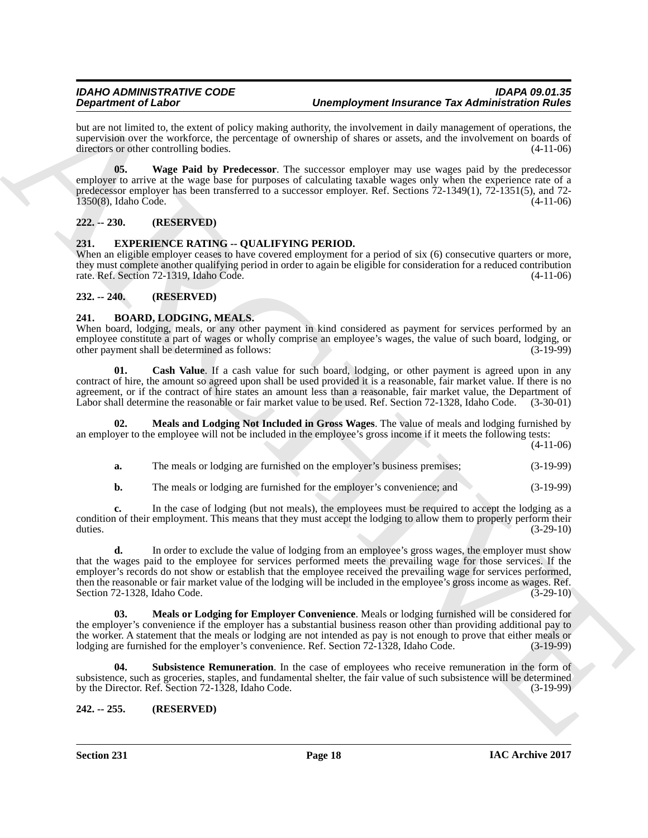#### *IDAHO ADMINISTRATIVE CODE IDAPA 09.01.35 Unemployment Insurance Tax Administration Rules*

but are not limited to, the extent of policy making authority, the involvement in daily management of operations, the supervision over the workforce, the percentage of ownership of shares or assets, and the involvement on boards of directors or other controlling bodies. (4-11-06)

<span id="page-17-10"></span>**05. Wage Paid by Predecessor**. The successor employer may use wages paid by the predecessor employer to arrive at the wage base for purposes of calculating taxable wages only when the experience rate of a predecessor employer has been transferred to a successor employer. Ref. Sections 72-1349(1), 72-1351(5), and 72- 1350(8), Idaho Code. (4-11-06)

# <span id="page-17-0"></span>**222. -- 230. (RESERVED)**

# <span id="page-17-9"></span><span id="page-17-1"></span>**231. EXPERIENCE RATING -- QUALIFYING PERIOD.**

When an eligible employer ceases to have covered employment for a period of six (6) consecutive quarters or more, they must complete another qualifying period in order to again be eligible for consideration for a reduced contribution rate. Ref. Section 72-1319, Idaho Code. (4-11-06)

# <span id="page-17-2"></span>**232. -- 240. (RESERVED)**

#### <span id="page-17-3"></span>**241. BOARD, LODGING, MEALS.**

When board, lodging, meals, or any other payment in kind considered as payment for services performed by an employee constitute a part of wages or wholly comprise an employee's wages, the value of such board, lodging, or other payment shall be determined as follows: other payment shall be determined as follows:

<span id="page-17-5"></span>**Cash Value**. If a cash value for such board, lodging, or other payment is agreed upon in any contract of hire, the amount so agreed upon shall be used provided it is a reasonable, fair market value. If there is no agreement, or if the contract of hire states an amount less than a reasonable, fair market value, the Department of Labor shall determine the reasonable or fair market value to be used. Ref. Section 72-1328, Idaho Code. (3-30-01)

**02. Meals and Lodging Not Included in Gross Wages**. The value of meals and lodging furnished by an employer to the employee will not be included in the employee's gross income if it meets the following tests:

(4-11-06)

<span id="page-17-6"></span>**a.** The meals or lodging are furnished on the employer's business premises; (3-19-99)

**b.** The meals or lodging are furnished for the employer's convenience; and (3-19-99)

**c.** In the case of lodging (but not meals), the employees must be required to accept the lodging as a condition of their employment. This means that they must accept the lodging to allow them to properly perform their duties. (3-29-10)

**Dependent of Lisbox**<br>
Det are not lisbox by the strengthein procedure and the strengthein the strengthein term in the strengthein term in the strengthein term in the strengthein term in the strengthein term in the streng **d.** In order to exclude the value of lodging from an employee's gross wages, the employer must show that the wages paid to the employee for services performed meets the prevailing wage for those services. If the employer's records do not show or establish that the employee received the prevailing wage for services performed, then the reasonable or fair market value of the lodging will be included in the employee's gross income as wages. Ref.<br>Section 72-1328, Idaho Code. (3-29-10) Section 72-1328, Idaho Code.

<span id="page-17-7"></span>**03. Meals or Lodging for Employer Convenience**. Meals or lodging furnished will be considered for the employer's convenience if the employer has a substantial business reason other than providing additional pay to the worker. A statement that the meals or lodging are not intended as pay is not enough to prove that either meals or lodging are furnished for the employer's convenience. Ref. Section 72-1328, Idaho Code. (3-19-99) lodging are furnished for the employer's convenience. Ref. Section 72-1328, Idaho Code.

<span id="page-17-8"></span>**Subsistence Remuneration**. In the case of employees who receive remuneration in the form of subsistence, such as groceries, staples, and fundamental shelter, the fair value of such subsistence will be determined<br>by the Director. Ref. Section 72-1328, Idaho Code. (3-19-99) by the Director. Ref. Section 72-1328, Idaho Code.

# <span id="page-17-4"></span>**242. -- 255. (RESERVED)**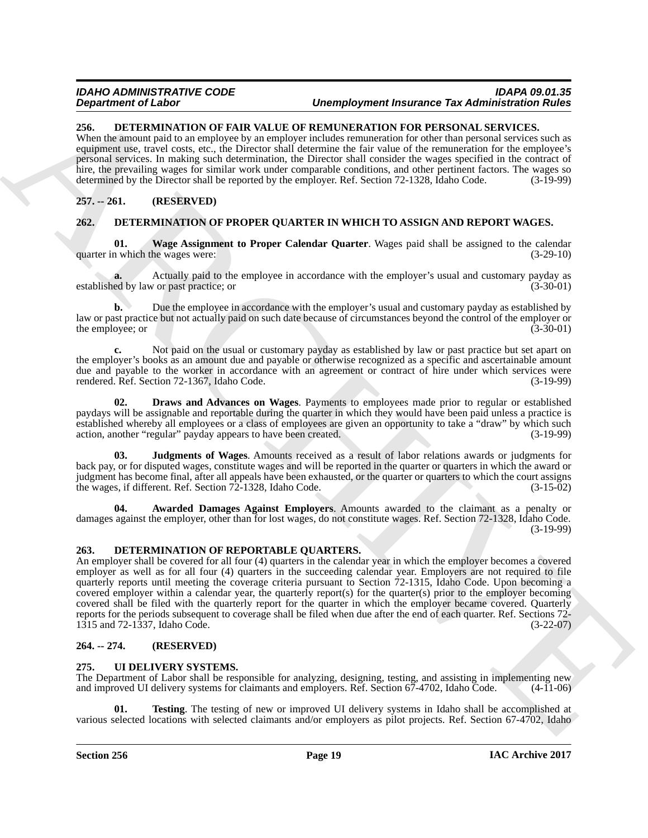#### <span id="page-18-6"></span><span id="page-18-0"></span>**256. DETERMINATION OF FAIR VALUE OF REMUNERATION FOR PERSONAL SERVICES.**

When the amount paid to an employee by an employer includes remuneration for other than personal services such as equipment use, travel costs, etc., the Director shall determine the fair value of the remuneration for the employee's personal services. In making such determination, the Director shall consider the wages specified in the contract of hire, the prevailing wages for similar work under comparable conditions, and other pertinent factors. The wages so determined by the Director shall be reported by the employer. Ref. Section 72-1328, Idaho Code. (3-19-99)

# <span id="page-18-1"></span>**257. -- 261. (RESERVED)**

# <span id="page-18-2"></span>**262. DETERMINATION OF PROPER QUARTER IN WHICH TO ASSIGN AND REPORT WAGES.**

<span id="page-18-10"></span>**01.** Wage Assignment to Proper Calendar Quarter. Wages paid shall be assigned to the calendar n which the wages were: (3-29-10) quarter in which the wages were:

Actually paid to the employee in accordance with the employer's usual and customary payday as v or past practice; or  $(3-30-01)$ established by law or past practice; or

**b.** Due the employee in accordance with the employer's usual and customary payday as established by law or past practice but not actually paid on such date because of circumstances beyond the control of the employer or the employee; or  $(3-30-01)$ 

**c.** Not paid on the usual or customary payday as established by law or past practice but set apart on the employer's books as an amount due and payable or otherwise recognized as a specific and ascertainable amount due and payable to the worker in accordance with an agreement or contract of hire under which services were rendered. Ref. Section 72-1367, Idaho Code. (3-19-99)

<span id="page-18-8"></span>**02. Draws and Advances on Wages**. Payments to employees made prior to regular or established paydays will be assignable and reportable during the quarter in which they would have been paid unless a practice is established whereby all employees or a class of employees are given an opportunity to take a "draw" by which such action, another "regular" payday appears to have been created. (3-19-99)

<span id="page-18-9"></span>**03. Judgments of Wages**. Amounts received as a result of labor relations awards or judgments for back pay, or for disputed wages, constitute wages and will be reported in the quarter or quarters in which the award or judgment has become final, after all appeals have been exhausted, or the quarter or quarters to which the court assigns the wages, if different. Ref. Section 72-1328, Idaho Code. (3-15-02) the wages, if different. Ref. Section  $72-1328$ , Idaho Code.

<span id="page-18-7"></span>Awarded Damages Against Employers. Amounts awarded to the claimant as a penalty or damages against the employer, other than for lost wages, do not constitute wages. Ref. Section 72-1328, Idaho Code. (3-19-99)

# <span id="page-18-3"></span>**263. DETERMINATION OF REPORTABLE QUARTERS.**

**Dependent of Lies Construction Constrainers of the effective of the state of the state of the state of the state of the state of the state of the state of the state of the state of the state of the state of the state of** An employer shall be covered for all four (4) quarters in the calendar year in which the employer becomes a covered employer as well as for all four (4) quarters in the succeeding calendar year. Employers are not required to file quarterly reports until meeting the coverage criteria pursuant to Section 72-1315, Idaho Code. Upon becoming a covered employer within a calendar year, the quarterly report(s) for the quarter(s) prior to the employer becoming covered shall be filed with the quarterly report for the quarter in which the employer became covered. Quarterly reports for the periods subsequent to coverage shall be filed when due after the end of each quarter. Ref. Sections 72- 1315 and 72-1337, Idaho Code. (3-22-07)

# <span id="page-18-4"></span>**264. -- 274. (RESERVED)**

# <span id="page-18-11"></span><span id="page-18-5"></span>**275. UI DELIVERY SYSTEMS.**

The Department of Labor shall be responsible for analyzing, designing, testing, and assisting in implementing new and improved UI delivery systems for claimants and employers. Ref. Section 67-4702, Idaho Code. (4-11-06) and improved UI delivery systems for claimants and employers. Ref. Section 67-4702, Idaho Code.

<span id="page-18-12"></span>**01. Testing**. The testing of new or improved UI delivery systems in Idaho shall be accomplished at various selected locations with selected claimants and/or employers as pilot projects. Ref. Section 67-4702, Idaho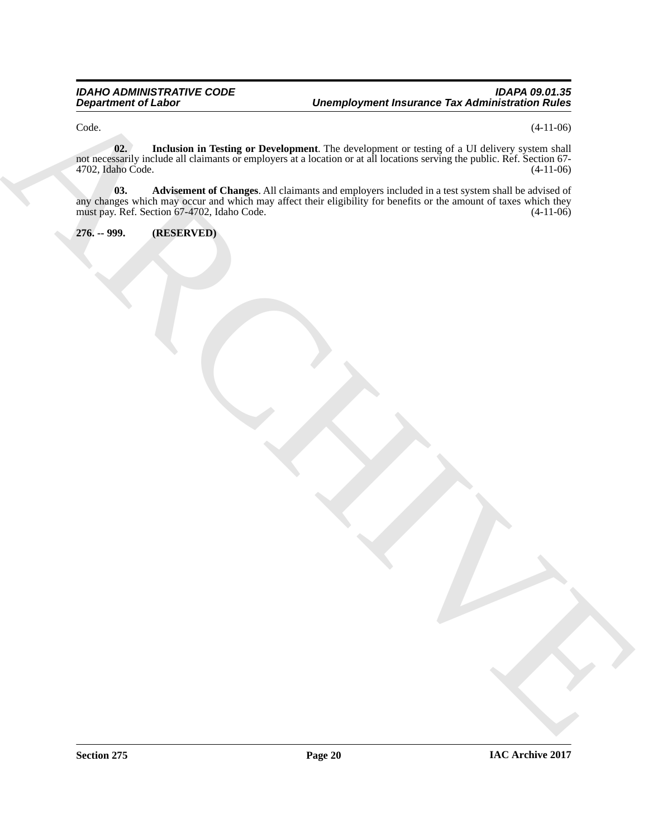<span id="page-19-2"></span> $\text{Code.} \tag{4-11-06}$ 

<span id="page-19-1"></span>**02. Inclusion in Testing or Development**. The development or testing of a UI delivery system shall not necessarily include all claimants or employers at a location or at all locations serving the public. Ref. Section 67- 4702, Idaho Code. (4-11-06)

Department of Linds<br>
Concern de Taurent in Turke or Deputy and The designation of the definition of the ULESCO<br>
The definition of the definition of the designation of the designation of the designation of the designation<br> **03. Advisement of Changes**. All claimants and employers included in a test system shall be advised of any changes which may occur and which may affect their eligibility for benefits or the amount of taxes which they must pay. Ref. Section 67-4702, Idaho Code. (4-11-06) must pay. Ref. Section 67-4702, Idaho Code.

<span id="page-19-0"></span>**276. -- 999. (RESERVED)**